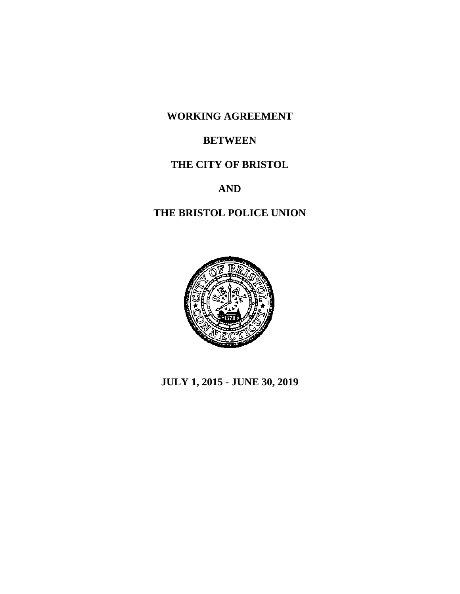**WORKING AGREEMENT**

## **BETWEEN**

## **THE CITY OF BRISTOL**

# **AND**

# **THE BRISTOL POLICE UNION**



**JULY 1, 2015 - JUNE 30, 2019**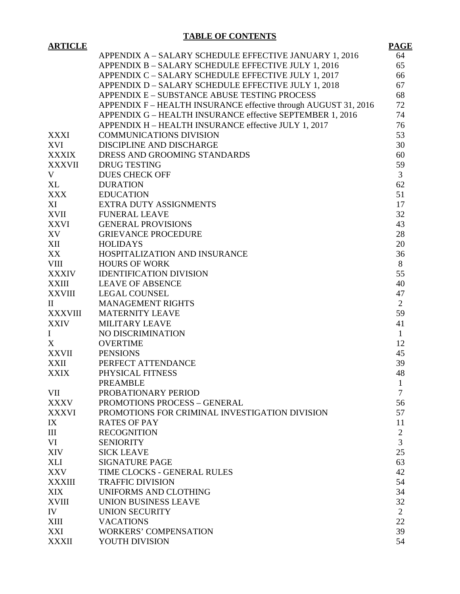## **TABLE OF CONTENTS**

| <b>ARTICLE</b> |                                                                 | <b>PAGE</b>    |
|----------------|-----------------------------------------------------------------|----------------|
|                | APPENDIX A - SALARY SCHEDULE EFFECTIVE JANUARY 1, 2016          | 64             |
|                | APPENDIX B - SALARY SCHEDULE EFFECTIVE JULY 1, 2016             | 65             |
|                | APPENDIX C - SALARY SCHEDULE EFFECTIVE JULY 1, 2017             | 66             |
|                | APPENDIX D - SALARY SCHEDULE EFFECTIVE JULY 1, 2018             | 67             |
|                | APPENDIX E - SUBSTANCE ABUSE TESTING PROCESS                    | 68             |
|                | APPENDIX F – HEALTH INSURANCE effective through AUGUST 31, 2016 | 72             |
|                | APPENDIX G - HEALTH INSURANCE effective SEPTEMBER 1, 2016       | 74             |
|                | APPENDIX H - HEALTH INSURANCE effective JULY 1, 2017            | 76             |
| XXXI           | <b>COMMUNICATIONS DIVISION</b>                                  | 53             |
| XVI            | DISCIPLINE AND DISCHARGE                                        | 30             |
| <b>XXXIX</b>   | DRESS AND GROOMING STANDARDS                                    | 60             |
| XXXVII         | <b>DRUG TESTING</b>                                             | 59             |
| V              | <b>DUES CHECK OFF</b>                                           | $\overline{3}$ |
| $X\mathsf{L}$  | <b>DURATION</b>                                                 | 62             |
| XXX            | <b>EDUCATION</b>                                                | 51             |
| XI             | EXTRA DUTY ASSIGNMENTS                                          | 17             |
| XVII           | <b>FUNERAL LEAVE</b>                                            | 32             |
| XXVI           | <b>GENERAL PROVISIONS</b>                                       | 43             |
| XV             | <b>GRIEVANCE PROCEDURE</b>                                      | 28             |
|                | <b>HOLIDAYS</b>                                                 | 20             |
| XII            |                                                                 | 36             |
| XX             | HOSPITALIZATION AND INSURANCE                                   | 8              |
| VIII           | <b>HOURS OF WORK</b>                                            |                |
|                | XXXIV IDENTIFICATION DIVISION                                   | 55             |
| <b>XXIII</b>   | <b>LEAVE OF ABSENCE</b>                                         | 40             |
|                | ${\bf XXVIII}\qquad {\bf LEGAL~COUNSEL}$                        | 47             |
| $\rm II$       | <b>MANAGEMENT RIGHTS</b>                                        | $\overline{2}$ |
| XXXVIII        | <b>MATERNITY LEAVE</b>                                          | 59             |
| <b>XXIV</b>    | MILITARY LEAVE                                                  | 41             |
| $\mathbf I$    | NO DISCRIMINATION                                               | $\mathbf{1}$   |
| X              | <b>OVERTIME</b>                                                 | 12             |
| XXVII          | <b>PENSIONS</b>                                                 | 45             |
| XXII           | PERFECT ATTENDANCE                                              | 39             |
| XXIX           | PHYSICAL FITNESS                                                | 48             |
|                | <b>PREAMBLE</b>                                                 | 1              |
| VII            | PROBATIONARY PERIOD                                             | 7              |
| <b>XXXV</b>    | PROMOTIONS PROCESS - GENERAL                                    | 56             |
| XXXVI          | PROMOTIONS FOR CRIMINAL INVESTIGATION DIVISION                  | 57             |
| IX             | <b>RATES OF PAY</b>                                             | 11             |
| III            | <b>RECOGNITION</b>                                              | $\overline{2}$ |
| VI             | <b>SENIORITY</b>                                                | 3              |
| XIV            | <b>SICK LEAVE</b>                                               | 25             |
| <b>XLI</b>     | <b>SIGNATURE PAGE</b>                                           | 63             |
| XXV            | TIME CLOCKS - GENERAL RULES                                     | 42             |
| <b>XXXIII</b>  | <b>TRAFFIC DIVISION</b>                                         | 54             |
| <b>XIX</b>     | UNIFORMS AND CLOTHING                                           | 34             |
| <b>XVIII</b>   | <b>UNION BUSINESS LEAVE</b>                                     | 32             |
| IV             | <b>UNION SECURITY</b>                                           | 2              |
| XIII           | <b>VACATIONS</b>                                                | 22             |
| XXI            | <b>WORKERS' COMPENSATION</b>                                    | 39             |
| <b>XXXII</b>   | YOUTH DIVISION                                                  | 54             |
|                |                                                                 |                |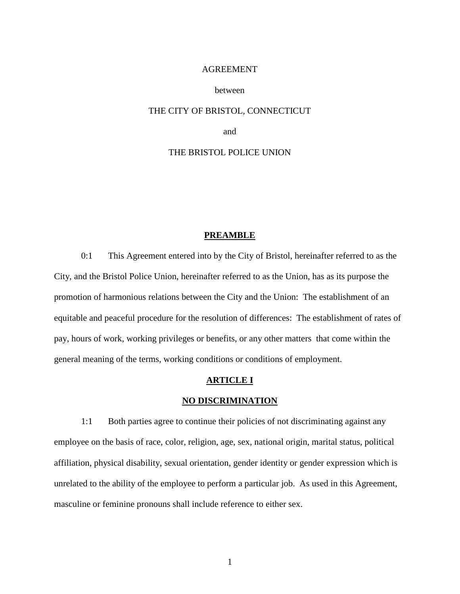## AGREEMENT

## between

## THE CITY OF BRISTOL, CONNECTICUT

and

## THE BRISTOL POLICE UNION

## **PREAMBLE**

0:1 This Agreement entered into by the City of Bristol, hereinafter referred to as the City, and the Bristol Police Union, hereinafter referred to as the Union, has as its purpose the promotion of harmonious relations between the City and the Union: The establishment of an equitable and peaceful procedure for the resolution of differences: The establishment of rates of pay, hours of work, working privileges or benefits, or any other matters that come within the general meaning of the terms, working conditions or conditions of employment.

## **ARTICLE I**

## **NO DISCRIMINATION**

1:1 Both parties agree to continue their policies of not discriminating against any employee on the basis of race, color, religion, age, sex, national origin, marital status, political affiliation, physical disability, sexual orientation, gender identity or gender expression which is unrelated to the ability of the employee to perform a particular job. As used in this Agreement, masculine or feminine pronouns shall include reference to either sex.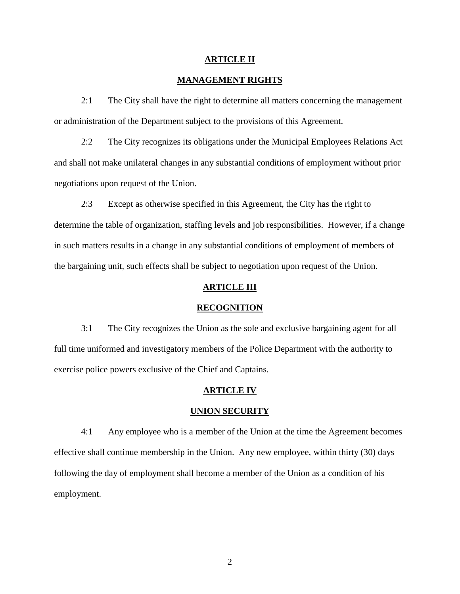## **ARTICLE II**

## **MANAGEMENT RIGHTS**

2:1 The City shall have the right to determine all matters concerning the management or administration of the Department subject to the provisions of this Agreement.

2:2 The City recognizes its obligations under the Municipal Employees Relations Act and shall not make unilateral changes in any substantial conditions of employment without prior negotiations upon request of the Union.

2:3 Except as otherwise specified in this Agreement, the City has the right to determine the table of organization, staffing levels and job responsibilities. However, if a change in such matters results in a change in any substantial conditions of employment of members of the bargaining unit, such effects shall be subject to negotiation upon request of the Union.

## **ARTICLE III**

## **RECOGNITION**

3:1 The City recognizes the Union as the sole and exclusive bargaining agent for all full time uniformed and investigatory members of the Police Department with the authority to exercise police powers exclusive of the Chief and Captains.

#### **ARTICLE IV**

#### **UNION SECURITY**

4:1 Any employee who is a member of the Union at the time the Agreement becomes effective shall continue membership in the Union. Any new employee, within thirty (30) days following the day of employment shall become a member of the Union as a condition of his employment.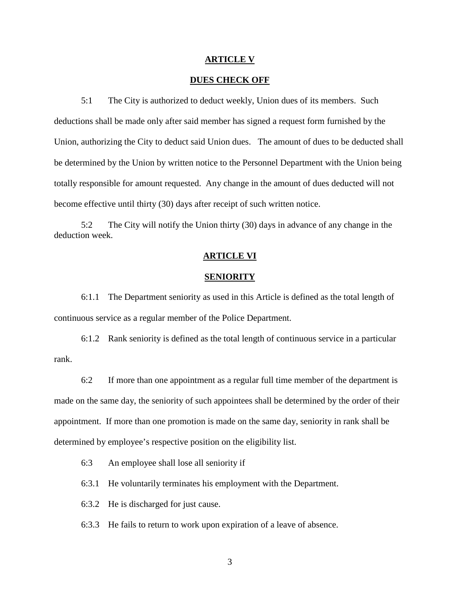#### **ARTICLE V**

## **DUES CHECK OFF**

5:1 The City is authorized to deduct weekly, Union dues of its members. Such deductions shall be made only after said member has signed a request form furnished by the Union, authorizing the City to deduct said Union dues. The amount of dues to be deducted shall be determined by the Union by written notice to the Personnel Department with the Union being totally responsible for amount requested. Any change in the amount of dues deducted will not become effective until thirty (30) days after receipt of such written notice.

5:2 The City will notify the Union thirty (30) days in advance of any change in the deduction week.

## **ARTICLE VI**

## **SENIORITY**

6:1.1 The Department seniority as used in this Article is defined as the total length of continuous service as a regular member of the Police Department.

6:1.2 Rank seniority is defined as the total length of continuous service in a particular rank.

6:2 If more than one appointment as a regular full time member of the department is made on the same day, the seniority of such appointees shall be determined by the order of their appointment. If more than one promotion is made on the same day, seniority in rank shall be determined by employee's respective position on the eligibility list.

6:3 An employee shall lose all seniority if

6:3.1 He voluntarily terminates his employment with the Department.

6:3.2 He is discharged for just cause.

6:3.3 He fails to return to work upon expiration of a leave of absence.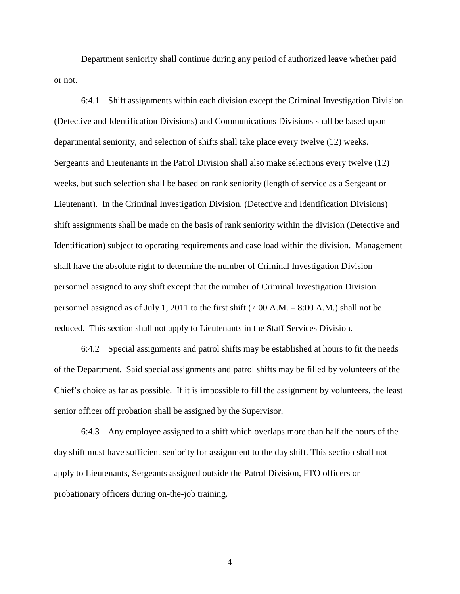Department seniority shall continue during any period of authorized leave whether paid or not.

6:4.1 Shift assignments within each division except the Criminal Investigation Division (Detective and Identification Divisions) and Communications Divisions shall be based upon departmental seniority, and selection of shifts shall take place every twelve (12) weeks. Sergeants and Lieutenants in the Patrol Division shall also make selections every twelve (12) weeks, but such selection shall be based on rank seniority (length of service as a Sergeant or Lieutenant). In the Criminal Investigation Division, (Detective and Identification Divisions) shift assignments shall be made on the basis of rank seniority within the division (Detective and Identification) subject to operating requirements and case load within the division. Management shall have the absolute right to determine the number of Criminal Investigation Division personnel assigned to any shift except that the number of Criminal Investigation Division personnel assigned as of July 1, 2011 to the first shift (7:00 A.M. – 8:00 A.M.) shall not be reduced. This section shall not apply to Lieutenants in the Staff Services Division.

6:4.2 Special assignments and patrol shifts may be established at hours to fit the needs of the Department. Said special assignments and patrol shifts may be filled by volunteers of the Chief's choice as far as possible. If it is impossible to fill the assignment by volunteers, the least senior officer off probation shall be assigned by the Supervisor.

6:4.3 Any employee assigned to a shift which overlaps more than half the hours of the day shift must have sufficient seniority for assignment to the day shift. This section shall not apply to Lieutenants, Sergeants assigned outside the Patrol Division, FTO officers or probationary officers during on-the-job training.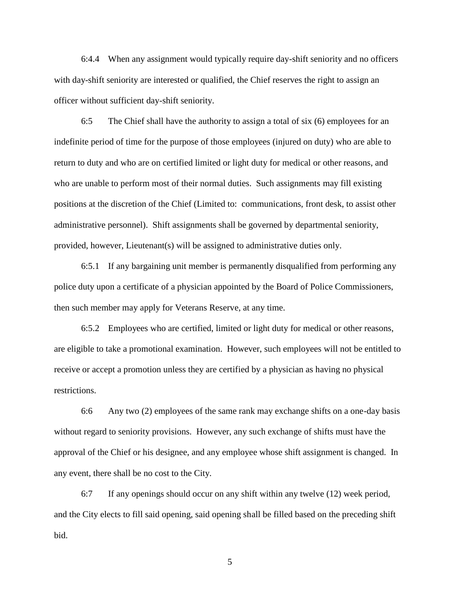6:4.4 When any assignment would typically require day-shift seniority and no officers with day-shift seniority are interested or qualified, the Chief reserves the right to assign an officer without sufficient day-shift seniority.

6:5 The Chief shall have the authority to assign a total of six (6) employees for an indefinite period of time for the purpose of those employees (injured on duty) who are able to return to duty and who are on certified limited or light duty for medical or other reasons, and who are unable to perform most of their normal duties. Such assignments may fill existing positions at the discretion of the Chief (Limited to: communications, front desk, to assist other administrative personnel). Shift assignments shall be governed by departmental seniority, provided, however, Lieutenant(s) will be assigned to administrative duties only.

6:5.1 If any bargaining unit member is permanently disqualified from performing any police duty upon a certificate of a physician appointed by the Board of Police Commissioners, then such member may apply for Veterans Reserve, at any time.

6:5.2 Employees who are certified, limited or light duty for medical or other reasons, are eligible to take a promotional examination. However, such employees will not be entitled to receive or accept a promotion unless they are certified by a physician as having no physical restrictions.

6:6 Any two (2) employees of the same rank may exchange shifts on a one-day basis without regard to seniority provisions. However, any such exchange of shifts must have the approval of the Chief or his designee, and any employee whose shift assignment is changed. In any event, there shall be no cost to the City.

6:7 If any openings should occur on any shift within any twelve (12) week period, and the City elects to fill said opening, said opening shall be filled based on the preceding shift bid.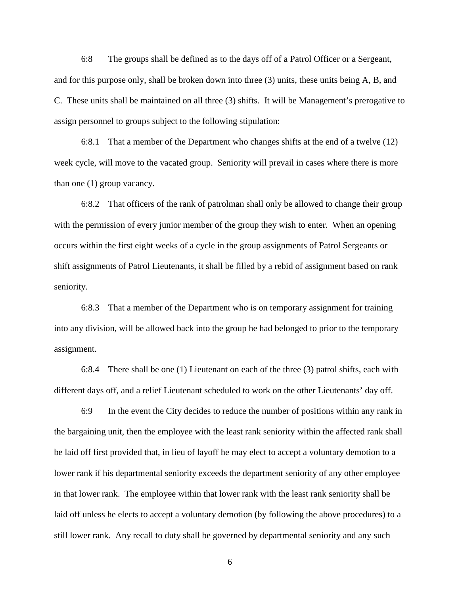6:8 The groups shall be defined as to the days off of a Patrol Officer or a Sergeant, and for this purpose only, shall be broken down into three (3) units, these units being A, B, and C. These units shall be maintained on all three (3) shifts. It will be Management's prerogative to assign personnel to groups subject to the following stipulation:

6:8.1 That a member of the Department who changes shifts at the end of a twelve (12) week cycle, will move to the vacated group. Seniority will prevail in cases where there is more than one (1) group vacancy.

6:8.2 That officers of the rank of patrolman shall only be allowed to change their group with the permission of every junior member of the group they wish to enter. When an opening occurs within the first eight weeks of a cycle in the group assignments of Patrol Sergeants or shift assignments of Patrol Lieutenants, it shall be filled by a rebid of assignment based on rank seniority.

6:8.3 That a member of the Department who is on temporary assignment for training into any division, will be allowed back into the group he had belonged to prior to the temporary assignment.

6:8.4 There shall be one (1) Lieutenant on each of the three (3) patrol shifts, each with different days off, and a relief Lieutenant scheduled to work on the other Lieutenants' day off.

6:9 In the event the City decides to reduce the number of positions within any rank in the bargaining unit, then the employee with the least rank seniority within the affected rank shall be laid off first provided that, in lieu of layoff he may elect to accept a voluntary demotion to a lower rank if his departmental seniority exceeds the department seniority of any other employee in that lower rank. The employee within that lower rank with the least rank seniority shall be laid off unless he elects to accept a voluntary demotion (by following the above procedures) to a still lower rank. Any recall to duty shall be governed by departmental seniority and any such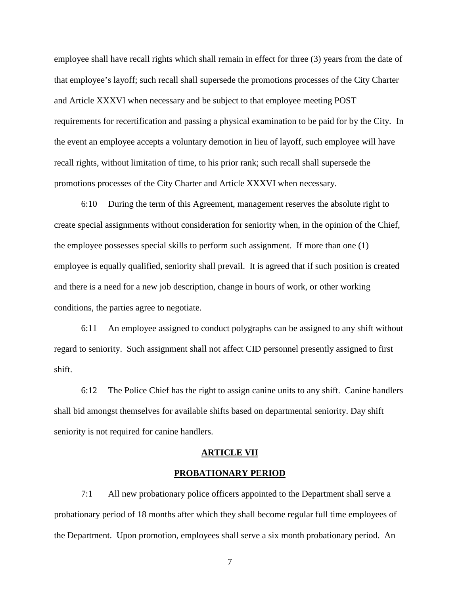employee shall have recall rights which shall remain in effect for three (3) years from the date of that employee's layoff; such recall shall supersede the promotions processes of the City Charter and Article XXXVI when necessary and be subject to that employee meeting POST requirements for recertification and passing a physical examination to be paid for by the City. In the event an employee accepts a voluntary demotion in lieu of layoff, such employee will have recall rights, without limitation of time, to his prior rank; such recall shall supersede the promotions processes of the City Charter and Article XXXVI when necessary.

6:10 During the term of this Agreement, management reserves the absolute right to create special assignments without consideration for seniority when, in the opinion of the Chief, the employee possesses special skills to perform such assignment. If more than one (1) employee is equally qualified, seniority shall prevail. It is agreed that if such position is created and there is a need for a new job description, change in hours of work, or other working conditions, the parties agree to negotiate.

6:11 An employee assigned to conduct polygraphs can be assigned to any shift without regard to seniority. Such assignment shall not affect CID personnel presently assigned to first shift.

6:12 The Police Chief has the right to assign canine units to any shift. Canine handlers shall bid amongst themselves for available shifts based on departmental seniority. Day shift seniority is not required for canine handlers.

#### **ARTICLE VII**

## **PROBATIONARY PERIOD**

7:1 All new probationary police officers appointed to the Department shall serve a probationary period of 18 months after which they shall become regular full time employees of the Department. Upon promotion, employees shall serve a six month probationary period. An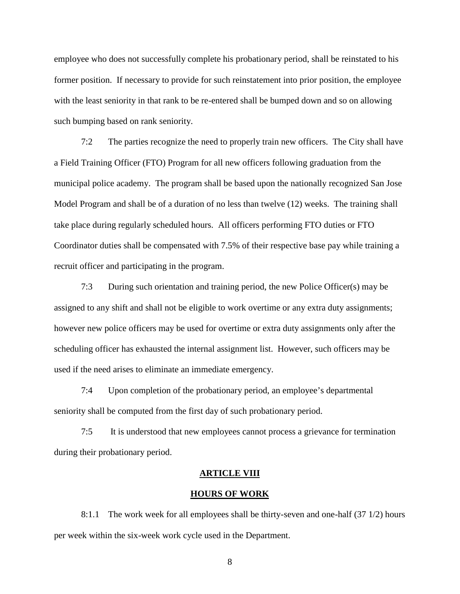employee who does not successfully complete his probationary period, shall be reinstated to his former position. If necessary to provide for such reinstatement into prior position, the employee with the least seniority in that rank to be re-entered shall be bumped down and so on allowing such bumping based on rank seniority.

7:2 The parties recognize the need to properly train new officers. The City shall have a Field Training Officer (FTO) Program for all new officers following graduation from the municipal police academy. The program shall be based upon the nationally recognized San Jose Model Program and shall be of a duration of no less than twelve (12) weeks. The training shall take place during regularly scheduled hours. All officers performing FTO duties or FTO Coordinator duties shall be compensated with 7.5% of their respective base pay while training a recruit officer and participating in the program.

7:3 During such orientation and training period, the new Police Officer(s) may be assigned to any shift and shall not be eligible to work overtime or any extra duty assignments; however new police officers may be used for overtime or extra duty assignments only after the scheduling officer has exhausted the internal assignment list. However, such officers may be used if the need arises to eliminate an immediate emergency.

7:4 Upon completion of the probationary period, an employee's departmental seniority shall be computed from the first day of such probationary period.

7:5 It is understood that new employees cannot process a grievance for termination during their probationary period.

#### **ARTICLE VIII**

#### **HOURS OF WORK**

8:1.1 The work week for all employees shall be thirty-seven and one-half (37 1/2) hours per week within the six-week work cycle used in the Department.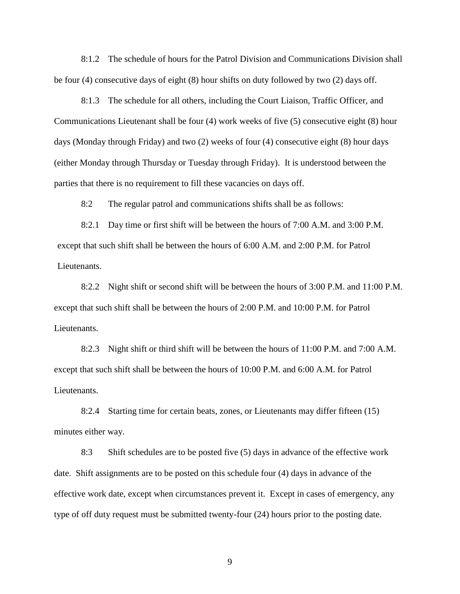8:1.2 The schedule of hours for the Patrol Division and Communications Division shall be four (4) consecutive days of eight (8) hour shifts on duty followed by two (2) days off.

8:1.3 The schedule for all others, including the Court Liaison, Traffic Officer, and Communications Lieutenant shall be four (4) work weeks of five (5) consecutive eight (8) hour days (Monday through Friday) and two (2) weeks of four (4) consecutive eight (8) hour days (either Monday through Thursday or Tuesday through Friday). It is understood between the parties that there is no requirement to fill these vacancies on days off.

8:2 The regular patrol and communications shifts shall be as follows:

8:2.1 Day time or first shift will be between the hours of 7:00 A.M. and 3:00 P.M. except that such shift shall be between the hours of 6:00 A.M. and 2:00 P.M. for Patrol Lieutenants.

8:2.2 Night shift or second shift will be between the hours of 3:00 P.M. and 11:00 P.M. except that such shift shall be between the hours of 2:00 P.M. and 10:00 P.M. for Patrol Lieutenants.

8:2.3 Night shift or third shift will be between the hours of 11:00 P.M. and 7:00 A.M. except that such shift shall be between the hours of 10:00 P.M. and 6:00 A.M. for Patrol Lieutenants.

8:2.4 Starting time for certain beats, zones, or Lieutenants may differ fifteen (15) minutes either way.

8:3 Shift schedules are to be posted five (5) days in advance of the effective work date. Shift assignments are to be posted on this schedule four (4) days in advance of the effective work date, except when circumstances prevent it. Except in cases of emergency, any type of off duty request must be submitted twenty-four (24) hours prior to the posting date.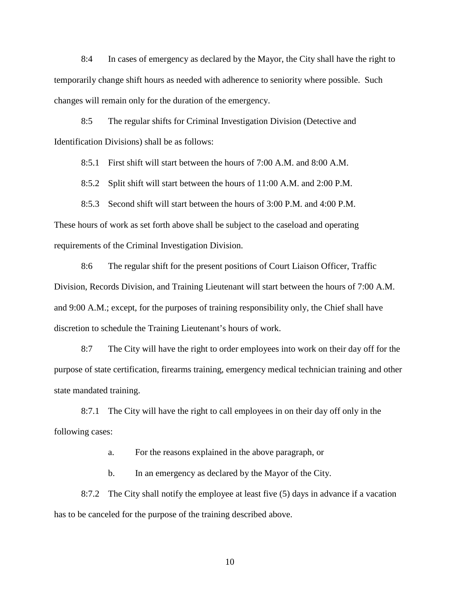8:4 In cases of emergency as declared by the Mayor, the City shall have the right to temporarily change shift hours as needed with adherence to seniority where possible. Such changes will remain only for the duration of the emergency.

8:5 The regular shifts for Criminal Investigation Division (Detective and Identification Divisions) shall be as follows:

8:5.1 First shift will start between the hours of 7:00 A.M. and 8:00 A.M.

8:5.2 Split shift will start between the hours of 11:00 A.M. and 2:00 P.M.

8:5.3 Second shift will start between the hours of 3:00 P.M. and 4:00 P.M. These hours of work as set forth above shall be subject to the caseload and operating requirements of the Criminal Investigation Division.

8:6 The regular shift for the present positions of Court Liaison Officer, Traffic Division, Records Division, and Training Lieutenant will start between the hours of 7:00 A.M. and 9:00 A.M.; except, for the purposes of training responsibility only, the Chief shall have discretion to schedule the Training Lieutenant's hours of work.

8:7 The City will have the right to order employees into work on their day off for the purpose of state certification, firearms training, emergency medical technician training and other state mandated training.

8:7.1 The City will have the right to call employees in on their day off only in the following cases:

a. For the reasons explained in the above paragraph, or

b. In an emergency as declared by the Mayor of the City.

8:7.2 The City shall notify the employee at least five (5) days in advance if a vacation has to be canceled for the purpose of the training described above.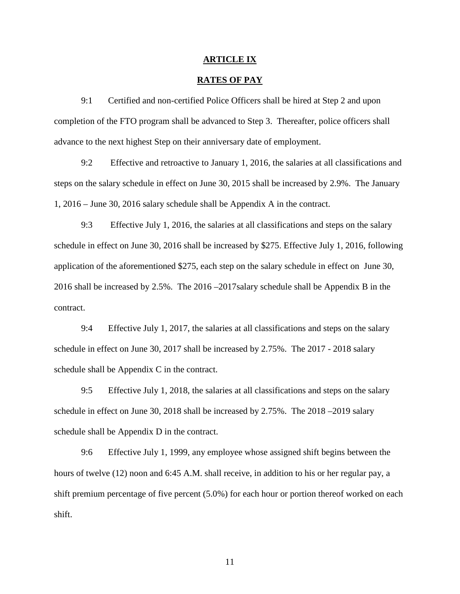#### **ARTICLE IX**

## **RATES OF PAY**

9:1 Certified and non-certified Police Officers shall be hired at Step 2 and upon completion of the FTO program shall be advanced to Step 3. Thereafter, police officers shall advance to the next highest Step on their anniversary date of employment.

9:2 Effective and retroactive to January 1, 2016, the salaries at all classifications and steps on the salary schedule in effect on June 30, 2015 shall be increased by 2.9%. The January 1, 2016 – June 30, 2016 salary schedule shall be Appendix A in the contract.

9:3 Effective July 1, 2016, the salaries at all classifications and steps on the salary schedule in effect on June 30, 2016 shall be increased by \$275. Effective July 1, 2016, following application of the aforementioned \$275, each step on the salary schedule in effect on June 30, 2016 shall be increased by 2.5%. The 2016 –2017salary schedule shall be Appendix B in the contract.

9:4 Effective July 1, 2017, the salaries at all classifications and steps on the salary schedule in effect on June 30, 2017 shall be increased by 2.75%. The 2017 - 2018 salary schedule shall be Appendix C in the contract.

9:5 Effective July 1, 2018, the salaries at all classifications and steps on the salary schedule in effect on June 30, 2018 shall be increased by 2.75%. The 2018 –2019 salary schedule shall be Appendix D in the contract.

9:6 Effective July 1, 1999, any employee whose assigned shift begins between the hours of twelve (12) noon and 6:45 A.M. shall receive, in addition to his or her regular pay, a shift premium percentage of five percent (5.0%) for each hour or portion thereof worked on each shift.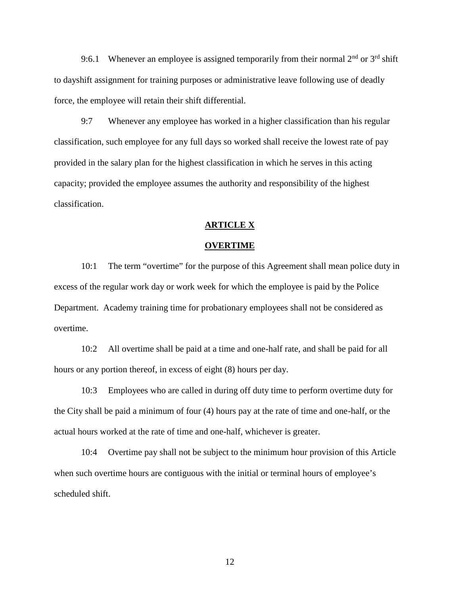9:6.1 Whenever an employee is assigned temporarily from their normal  $2<sup>nd</sup>$  or  $3<sup>rd</sup>$  shift to dayshift assignment for training purposes or administrative leave following use of deadly force, the employee will retain their shift differential.

9:7 Whenever any employee has worked in a higher classification than his regular classification, such employee for any full days so worked shall receive the lowest rate of pay provided in the salary plan for the highest classification in which he serves in this acting capacity; provided the employee assumes the authority and responsibility of the highest classification.

## **ARTICLE X**

## **OVERTIME**

10:1 The term "overtime" for the purpose of this Agreement shall mean police duty in excess of the regular work day or work week for which the employee is paid by the Police Department. Academy training time for probationary employees shall not be considered as overtime.

10:2 All overtime shall be paid at a time and one-half rate, and shall be paid for all hours or any portion thereof, in excess of eight (8) hours per day.

10:3 Employees who are called in during off duty time to perform overtime duty for the City shall be paid a minimum of four (4) hours pay at the rate of time and one-half, or the actual hours worked at the rate of time and one-half, whichever is greater.

10:4 Overtime pay shall not be subject to the minimum hour provision of this Article when such overtime hours are contiguous with the initial or terminal hours of employee's scheduled shift.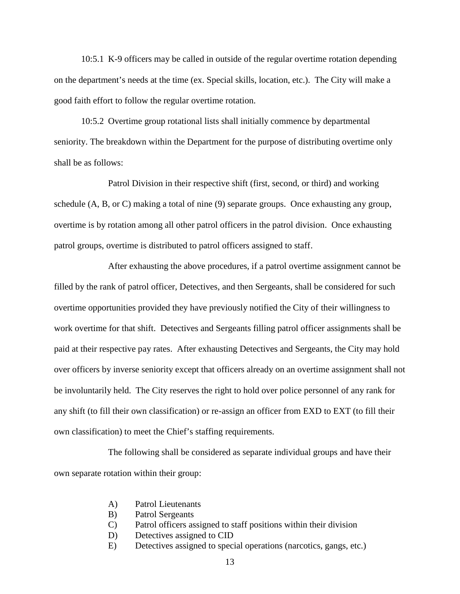10:5.1 K-9 officers may be called in outside of the regular overtime rotation depending on the department's needs at the time (ex. Special skills, location, etc.). The City will make a good faith effort to follow the regular overtime rotation.

10:5.2 Overtime group rotational lists shall initially commence by departmental seniority. The breakdown within the Department for the purpose of distributing overtime only shall be as follows:

Patrol Division in their respective shift (first, second, or third) and working schedule (A, B, or C) making a total of nine (9) separate groups. Once exhausting any group, overtime is by rotation among all other patrol officers in the patrol division. Once exhausting patrol groups, overtime is distributed to patrol officers assigned to staff.

After exhausting the above procedures, if a patrol overtime assignment cannot be filled by the rank of patrol officer, Detectives, and then Sergeants, shall be considered for such overtime opportunities provided they have previously notified the City of their willingness to work overtime for that shift. Detectives and Sergeants filling patrol officer assignments shall be paid at their respective pay rates. After exhausting Detectives and Sergeants, the City may hold over officers by inverse seniority except that officers already on an overtime assignment shall not be involuntarily held. The City reserves the right to hold over police personnel of any rank for any shift (to fill their own classification) or re-assign an officer from EXD to EXT (to fill their own classification) to meet the Chief's staffing requirements.

The following shall be considered as separate individual groups and have their own separate rotation within their group:

- A) Patrol Lieutenants
- B) Patrol Sergeants
- C) Patrol officers assigned to staff positions within their division
- D) Detectives assigned to CID
- E) Detectives assigned to special operations (narcotics, gangs, etc.)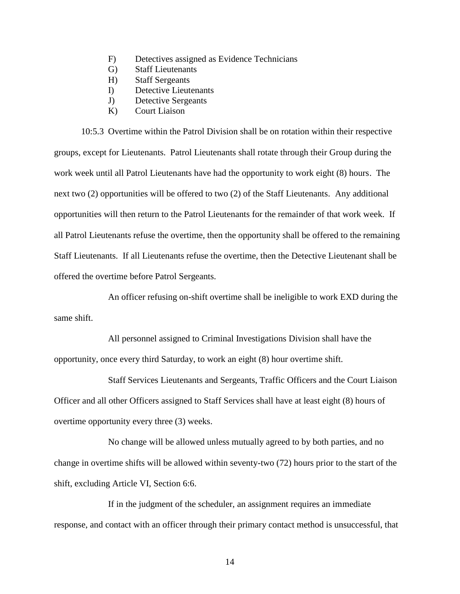- F) Detectives assigned as Evidence Technicians
- G) Staff Lieutenants
- H) Staff Sergeants
- I) Detective Lieutenants
- J) Detective Sergeants
- K) Court Liaison

10:5.3 Overtime within the Patrol Division shall be on rotation within their respective groups, except for Lieutenants. Patrol Lieutenants shall rotate through their Group during the work week until all Patrol Lieutenants have had the opportunity to work eight (8) hours. The next two (2) opportunities will be offered to two (2) of the Staff Lieutenants. Any additional opportunities will then return to the Patrol Lieutenants for the remainder of that work week. If all Patrol Lieutenants refuse the overtime, then the opportunity shall be offered to the remaining Staff Lieutenants. If all Lieutenants refuse the overtime, then the Detective Lieutenant shall be offered the overtime before Patrol Sergeants.

An officer refusing on-shift overtime shall be ineligible to work EXD during the same shift.

All personnel assigned to Criminal Investigations Division shall have the opportunity, once every third Saturday, to work an eight (8) hour overtime shift.

Staff Services Lieutenants and Sergeants, Traffic Officers and the Court Liaison Officer and all other Officers assigned to Staff Services shall have at least eight (8) hours of overtime opportunity every three (3) weeks.

No change will be allowed unless mutually agreed to by both parties, and no change in overtime shifts will be allowed within seventy-two (72) hours prior to the start of the shift, excluding Article VI, Section 6:6.

If in the judgment of the scheduler, an assignment requires an immediate response, and contact with an officer through their primary contact method is unsuccessful, that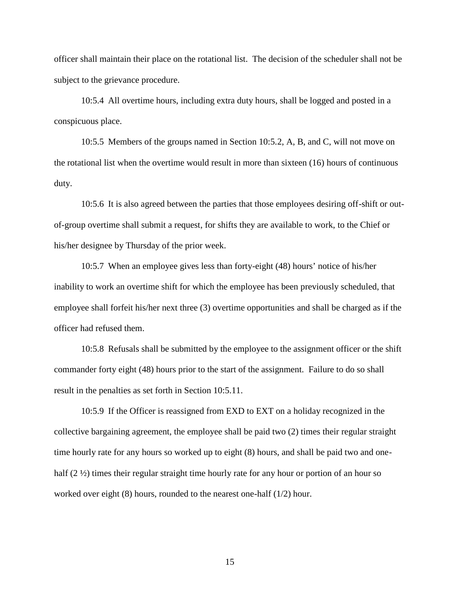officer shall maintain their place on the rotational list. The decision of the scheduler shall not be subject to the grievance procedure.

10:5.4 All overtime hours, including extra duty hours, shall be logged and posted in a conspicuous place.

10:5.5 Members of the groups named in Section 10:5.2, A, B, and C, will not move on the rotational list when the overtime would result in more than sixteen (16) hours of continuous duty.

10:5.6 It is also agreed between the parties that those employees desiring off-shift or out of-group overtime shall submit a request, for shifts they are available to work, to the Chief or his/her designee by Thursday of the prior week.

10:5.7 When an employee gives less than forty-eight (48) hours' notice of his/her inability to work an overtime shift for which the employee has been previously scheduled, that employee shall forfeit his/her next three (3) overtime opportunities and shall be charged as if the officer had refused them.

10:5.8 Refusals shall be submitted by the employee to the assignment officer or the shift commander forty eight (48) hours prior to the start of the assignment. Failure to do so shall result in the penalties as set forth in Section 10:5.11.

10:5.9 If the Officer is reassigned from EXD to EXT on a holiday recognized in the collective bargaining agreement, the employee shall be paid two (2) times their regular straight time hourly rate for any hours so worked up to eight (8) hours, and shall be paid two and one half  $(2 \frac{1}{2})$  times their regular straight time hourly rate for any hour or portion of an hour so worked over eight (8) hours, rounded to the nearest one-half (1/2) hour.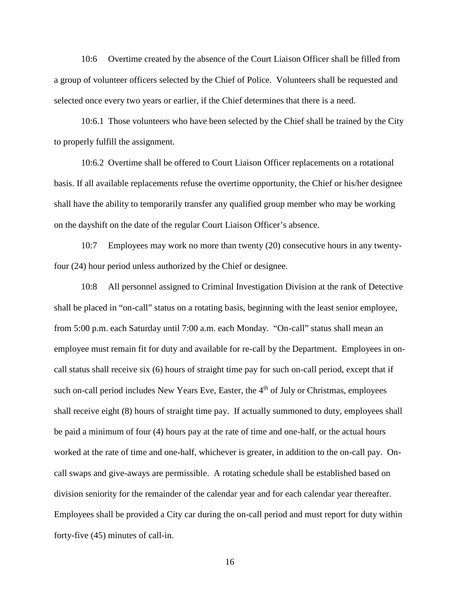10:6 Overtime created by the absence of the Court Liaison Officer shall be filled from a group of volunteer officers selected by the Chief of Police. Volunteers shall be requested and selected once every two years or earlier, if the Chief determines that there is a need.

10:6.1 Those volunteers who have been selected by the Chief shall be trained by the City to properly fulfill the assignment.

10:6.2 Overtime shall be offered to Court Liaison Officer replacements on a rotational basis. If all available replacements refuse the overtime opportunity, the Chief or his/her designee shall have the ability to temporarily transfer any qualified group member who may be working on the dayshift on the date of the regular Court Liaison Officer's absence.

10:7 Employees may work no more than twenty (20) consecutive hours in any twentyfour (24) hour period unless authorized by the Chief or designee.

10:8 All personnel assigned to Criminal Investigation Division at the rank of Detective shall be placed in "on-call" status on a rotating basis, beginning with the least senior employee, from 5:00 p.m. each Saturday until 7:00 a.m. each Monday. "On-call" status shall mean an employee must remain fit for duty and available for re-call by the Department. Employees in on call status shall receive six (6) hours of straight time pay for such on-call period, except that if such on-call period includes New Years Eve, Easter, the 4<sup>th</sup> of July or Christmas, employees shall receive eight (8) hours of straight time pay. If actually summoned to duty, employees shall be paid a minimum of four (4) hours pay at the rate of time and one-half, or the actual hours worked at the rate of time and one-half, whichever is greater, in addition to the on-call pay. On call swaps and give-aways are permissible. A rotating schedule shall be established based on division seniority for the remainder of the calendar year and for each calendar year thereafter. Employees shall be provided a City car during the on-call period and must report for duty within forty-five (45) minutes of call-in.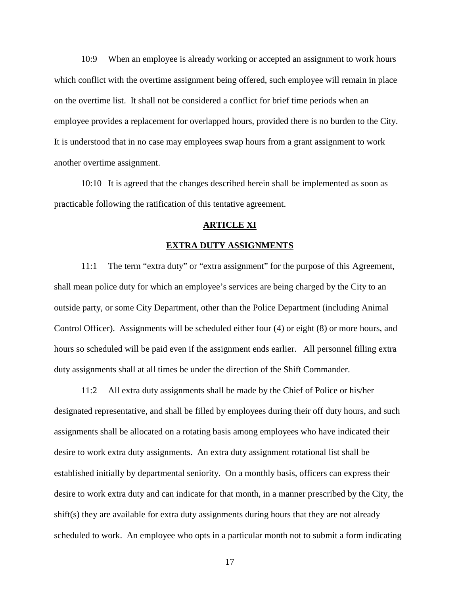10:9 When an employee is already working or accepted an assignment to work hours which conflict with the overtime assignment being offered, such employee will remain in place on the overtime list. It shall not be considered a conflict for brief time periods when an employee provides a replacement for overlapped hours, provided there is no burden to the City. It is understood that in no case may employees swap hours from a grant assignment to work another overtime assignment.

10:10 It is agreed that the changes described herein shall be implemented as soon as practicable following the ratification of this tentative agreement.

## **ARTICLE XI**

## **EXTRA DUTY ASSIGNMENTS**

11:1 The term "extra duty" or "extra assignment" for the purpose of this Agreement, shall mean police duty for which an employee's services are being charged by the City to an outside party, or some City Department, other than the Police Department (including Animal Control Officer). Assignments will be scheduled either four (4) or eight (8) or more hours, and hours so scheduled will be paid even if the assignment ends earlier. All personnel filling extra duty assignments shall at all times be under the direction of the Shift Commander.

11:2 All extra duty assignments shall be made by the Chief of Police or his/her designated representative, and shall be filled by employees during their off duty hours, and such assignments shall be allocated on a rotating basis among employees who have indicated their desire to work extra duty assignments. An extra duty assignment rotational list shall be established initially by departmental seniority. On a monthly basis, officers can express their desire to work extra duty and can indicate for that month, in a manner prescribed by the City, the shift(s) they are available for extra duty assignments during hours that they are not already scheduled to work. An employee who opts in a particular month not to submit a form indicating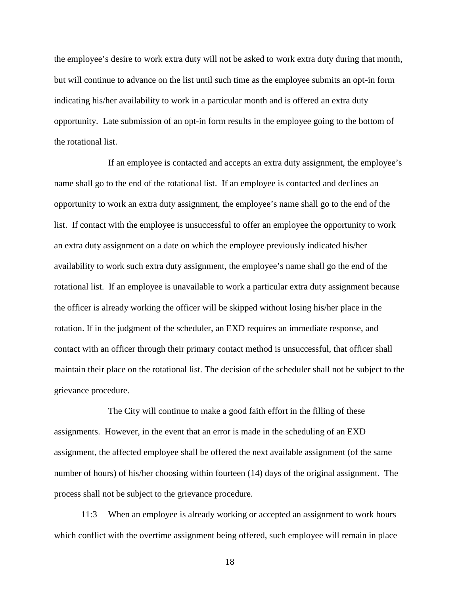the employee's desire to work extra duty will not be asked to work extra duty during that month, but will continue to advance on the list until such time as the employee submits an opt-in form indicating his/her availability to work in a particular month and is offered an extra duty opportunity. Late submission of an opt-in form results in the employee going to the bottom of the rotational list.

If an employee is contacted and accepts an extra duty assignment, the employee's name shall go to the end of the rotational list. If an employee is contacted and declines an opportunity to work an extra duty assignment, the employee's name shall go to the end of the list. If contact with the employee is unsuccessful to offer an employee the opportunity to work an extra duty assignment on a date on which the employee previously indicated his/her availability to work such extra duty assignment, the employee's name shall go the end of the rotational list. If an employee is unavailable to work a particular extra duty assignment because the officer is already working the officer will be skipped without losing his/her place in the rotation. If in the judgment of the scheduler, an EXD requires an immediate response, and contact with an officer through their primary contact method is unsuccessful, that officer shall maintain their place on the rotational list. The decision of the scheduler shall not be subject to the grievance procedure.

The City will continue to make a good faith effort in the filling of these assignments. However, in the event that an error is made in the scheduling of an EXD assignment, the affected employee shall be offered the next available assignment (of the same number of hours) of his/her choosing within fourteen (14) days of the original assignment. The process shall not be subject to the grievance procedure.

11:3 When an employee is already working or accepted an assignment to work hours which conflict with the overtime assignment being offered, such employee will remain in place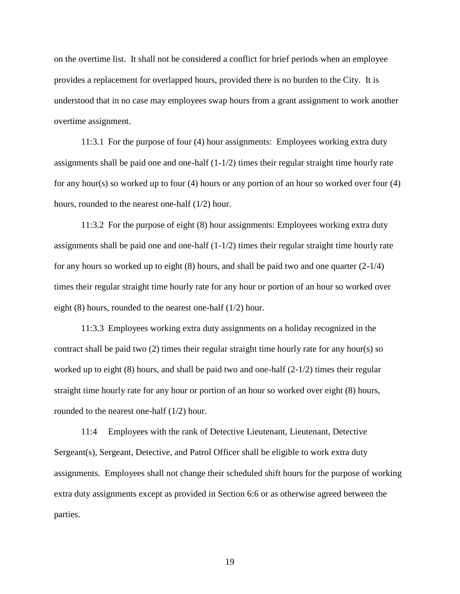on the overtime list. It shall not be considered a conflict for brief periods when an employee provides a replacement for overlapped hours, provided there is no burden to the City. It is understood that in no case may employees swap hours from a grant assignment to work another overtime assignment.

11:3.1 For the purpose of four (4) hour assignments: Employees working extra duty assignments shall be paid one and one-half  $(1-1/2)$  times their regular straight time hourly rate for any hour(s) so worked up to four (4) hours or any portion of an hour so worked over four (4) hours, rounded to the nearest one-half (1/2) hour.

11:3.2 For the purpose of eight (8) hour assignments: Employees working extra duty assignments shall be paid one and one-half  $(1-1/2)$  times their regular straight time hourly rate for any hours so worked up to eight  $(8)$  hours, and shall be paid two and one quarter  $(2-1/4)$ times their regular straight time hourly rate for any hour or portion of an hour so worked over eight (8) hours, rounded to the nearest one-half (1/2) hour.

11:3.3 Employees working extra duty assignments on a holiday recognized in the contract shall be paid two (2) times their regular straight time hourly rate for any hour(s) so worked up to eight  $(8)$  hours, and shall be paid two and one-half  $(2-1/2)$  times their regular straight time hourly rate for any hour or portion of an hour so worked over eight (8) hours, rounded to the nearest one-half (1/2) hour.

11:4 Employees with the rank of Detective Lieutenant, Lieutenant, Detective Sergeant(s), Sergeant, Detective, and Patrol Officer shall be eligible to work extra duty assignments. Employees shall not change their scheduled shift hours for the purpose of working extra duty assignments except as provided in Section 6:6 or as otherwise agreed between the parties.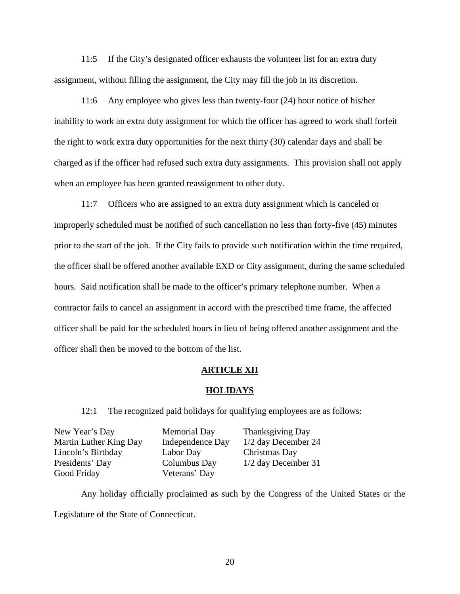11:5 If the City's designated officer exhausts the volunteer list for an extra duty assignment, without filling the assignment, the City may fill the job in its discretion.

11:6 Any employee who gives less than twenty-four (24) hour notice of his/her inability to work an extra duty assignment for which the officer has agreed to work shall forfeit the right to work extra duty opportunities for the next thirty (30) calendar days and shall be charged as if the officer had refused such extra duty assignments. This provision shall not apply when an employee has been granted reassignment to other duty.

11:7 Officers who are assigned to an extra duty assignment which is canceled or improperly scheduled must be notified of such cancellation no less than forty-five (45) minutes prior to the start of the job. If the City fails to provide such notification within the time required, the officer shall be offered another available EXD or City assignment, during the same scheduled hours. Said notification shall be made to the officer's primary telephone number. When a contractor fails to cancel an assignment in accord with the prescribed time frame, the affected officer shall be paid for the scheduled hours in lieu of being offered another assignment and the officer shall then be moved to the bottom of the list.

## **ARTICLE XII**

## **HOLIDAYS**

12:1 The recognized paid holidays for qualifying employees are as follows:

| New Year's Day         | <b>Memorial Day</b> | Thanksgiving Day      |
|------------------------|---------------------|-----------------------|
| Martin Luther King Day | Independence Day    | 1/2 day December 24   |
| Lincoln's Birthday     | Labor Day           | Christmas Day         |
| Presidents' Day        | Columbus Day        | $1/2$ day December 31 |
| Good Friday            | Veterans' Day       |                       |

Any holiday officially proclaimed as such by the Congress of the United States or the Legislature of the State of Connecticut.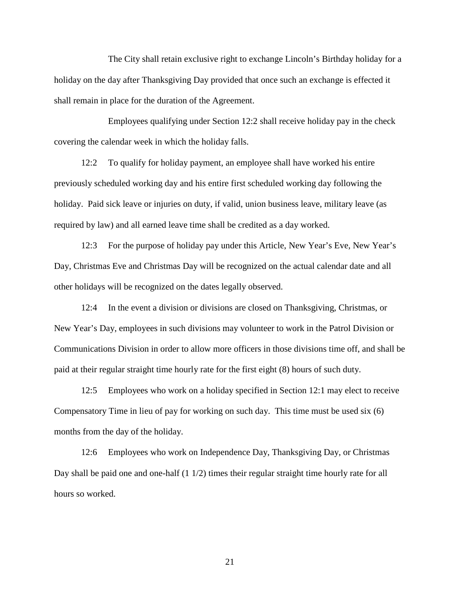The City shall retain exclusive right to exchange Lincoln's Birthday holiday for a holiday on the day after Thanksgiving Day provided that once such an exchange is effected it shall remain in place for the duration of the Agreement.

Employees qualifying under Section 12:2 shall receive holiday pay in the check covering the calendar week in which the holiday falls.

12:2 To qualify for holiday payment, an employee shall have worked his entire previously scheduled working day and his entire first scheduled working day following the holiday. Paid sick leave or injuries on duty, if valid, union business leave, military leave (as required by law) and all earned leave time shall be credited as a day worked.

12:3 For the purpose of holiday pay under this Article, New Year's Eve, New Year's Day, Christmas Eve and Christmas Day will be recognized on the actual calendar date and all other holidays will be recognized on the dates legally observed.

12:4 In the event a division or divisions are closed on Thanksgiving, Christmas, or New Year's Day, employees in such divisions may volunteer to work in the Patrol Division or Communications Division in order to allow more officers in those divisions time off, and shall be paid at their regular straight time hourly rate for the first eight (8) hours of such duty.

12:5 Employees who work on a holiday specified in Section 12:1 may elect to receive Compensatory Time in lieu of pay for working on such day. This time must be used six (6) months from the day of the holiday.

12:6 Employees who work on Independence Day, Thanksgiving Day, or Christmas Day shall be paid one and one-half  $(1 1/2)$  times their regular straight time hourly rate for all hours so worked.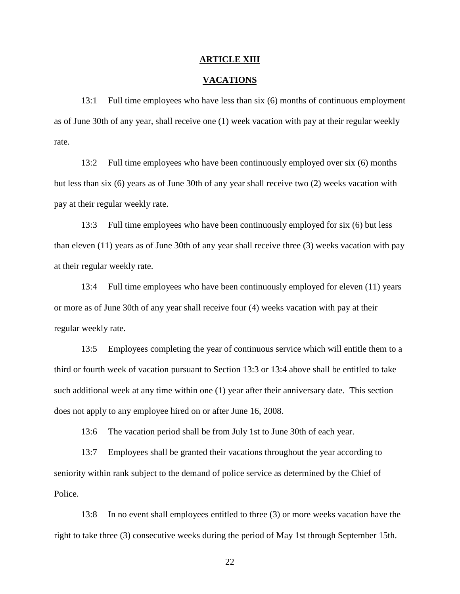#### **ARTICLE XIII**

## **VACATIONS**

13:1 Full time employees who have less than six (6) months of continuous employment as of June 30th of any year, shall receive one (1) week vacation with pay at their regular weekly rate.

13:2 Full time employees who have been continuously employed over six (6) months but less than six (6) years as of June 30th of any year shall receive two (2) weeks vacation with pay at their regular weekly rate.

13:3 Full time employees who have been continuously employed for six (6) but less than eleven (11) years as of June 30th of any year shall receive three (3) weeks vacation with pay at their regular weekly rate.

13:4 Full time employees who have been continuously employed for eleven (11) years or more as of June 30th of any year shall receive four (4) weeks vacation with pay at their regular weekly rate.

13:5 Employees completing the year of continuous service which will entitle them to a third or fourth week of vacation pursuant to Section 13:3 or 13:4 above shall be entitled to take such additional week at any time within one (1) year after their anniversary date. This section does not apply to any employee hired on or after June 16, 2008.

13:6 The vacation period shall be from July 1st to June 30th of each year.

13:7 Employees shall be granted their vacations throughout the year according to seniority within rank subject to the demand of police service as determined by the Chief of Police.

13:8 In no event shall employees entitled to three (3) or more weeks vacation have the right to take three (3) consecutive weeks during the period of May 1st through September 15th.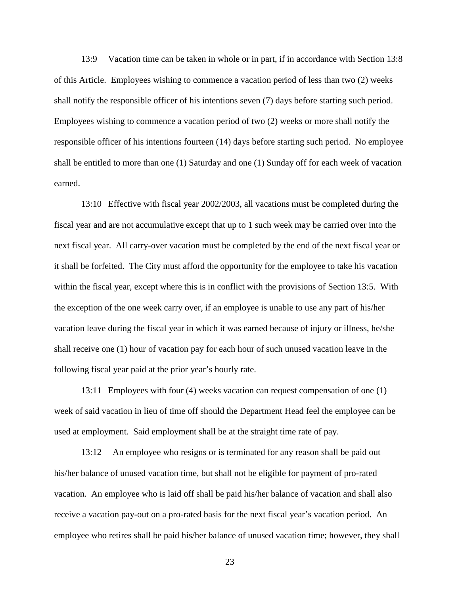13:9 Vacation time can be taken in whole or in part, if in accordance with Section 13:8 of this Article. Employees wishing to commence a vacation period of less than two (2) weeks shall notify the responsible officer of his intentions seven (7) days before starting such period. Employees wishing to commence a vacation period of two (2) weeks or more shall notify the responsible officer of his intentions fourteen (14) days before starting such period. No employee shall be entitled to more than one (1) Saturday and one (1) Sunday off for each week of vacation earned.

13:10 Effective with fiscal year 2002/2003, all vacations must be completed during the fiscal year and are not accumulative except that up to 1 such week may be carried over into the next fiscal year. All carry-over vacation must be completed by the end of the next fiscal year or it shall be forfeited. The City must afford the opportunity for the employee to take his vacation within the fiscal year, except where this is in conflict with the provisions of Section 13:5. With the exception of the one week carry over, if an employee is unable to use any part of his/her vacation leave during the fiscal year in which it was earned because of injury or illness, he/she shall receive one (1) hour of vacation pay for each hour of such unused vacation leave in the following fiscal year paid at the prior year's hourly rate.

13:11 Employees with four (4) weeks vacation can request compensation of one (1) week of said vacation in lieu of time off should the Department Head feel the employee can be used at employment. Said employment shall be at the straight time rate of pay.

13:12 An employee who resigns or is terminated for any reason shall be paid out his/her balance of unused vacation time, but shall not be eligible for payment of pro-rated vacation. An employee who is laid off shall be paid his/her balance of vacation and shall also receive a vacation pay-out on a pro-rated basis for the next fiscal year's vacation period. An employee who retires shall be paid his/her balance of unused vacation time; however, they shall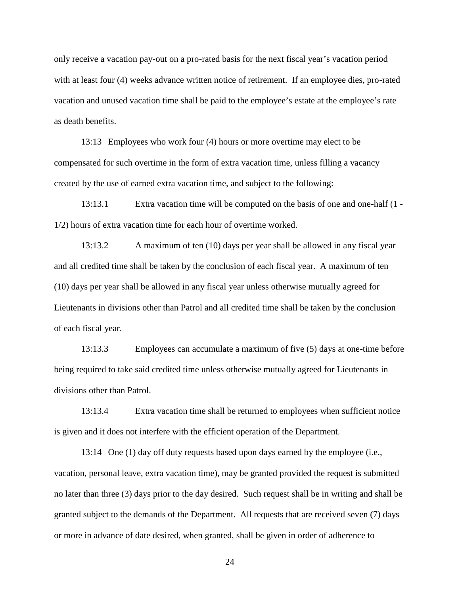only receive a vacation pay-out on a pro-rated basis for the next fiscal year's vacation period with at least four (4) weeks advance written notice of retirement. If an employee dies, pro-rated vacation and unused vacation time shall be paid to the employee's estate at the employee's rate as death benefits.

13:13 Employees who work four (4) hours or more overtime may elect to be compensated for such overtime in the form of extra vacation time, unless filling a vacancy created by the use of earned extra vacation time, and subject to the following:

13:13.1 Extra vacation time will be computed on the basis of one and one-half (1 - 1/2) hours of extra vacation time for each hour of overtime worked.

13:13.2 A maximum of ten (10) days per year shall be allowed in any fiscal year and all credited time shall be taken by the conclusion of each fiscal year. A maximum of ten (10) days per year shall be allowed in any fiscal year unless otherwise mutually agreed for Lieutenants in divisions other than Patrol and all credited time shall be taken by the conclusion of each fiscal year.

13:13.3 Employees can accumulate a maximum of five (5) days at one-time before being required to take said credited time unless otherwise mutually agreed for Lieutenants in divisions other than Patrol.

13:13.4 Extra vacation time shall be returned to employees when sufficient notice is given and it does not interfere with the efficient operation of the Department.

13:14 One (1) day off duty requests based upon days earned by the employee (i.e., vacation, personal leave, extra vacation time), may be granted provided the request is submitted no later than three (3) days prior to the day desired. Such request shall be in writing and shall be granted subject to the demands of the Department. All requests that are received seven (7) days or more in advance of date desired, when granted, shall be given in order of adherence to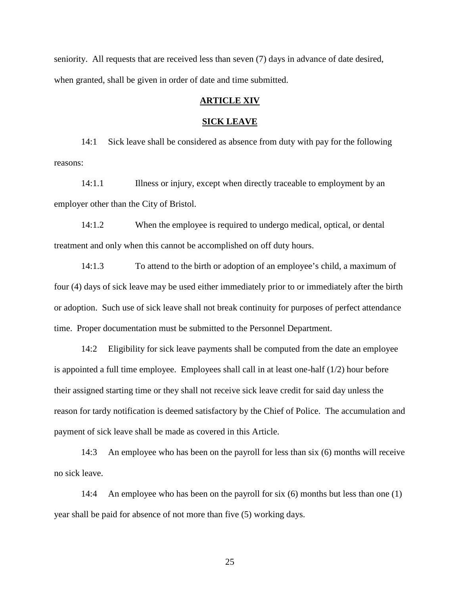seniority. All requests that are received less than seven (7) days in advance of date desired, when granted, shall be given in order of date and time submitted.

## **ARTICLE XIV**

#### **SICK LEAVE**

14:1 Sick leave shall be considered as absence from duty with pay for the following reasons:

14:1.1 Illness or injury, except when directly traceable to employment by an employer other than the City of Bristol.

14:1.2 When the employee is required to undergo medical, optical, or dental treatment and only when this cannot be accomplished on off duty hours.

14:1.3 To attend to the birth or adoption of an employee's child, a maximum of four (4) days of sick leave may be used either immediately prior to or immediately after the birth or adoption. Such use of sick leave shall not break continuity for purposes of perfect attendance time. Proper documentation must be submitted to the Personnel Department.

14:2 Eligibility for sick leave payments shall be computed from the date an employee is appointed a full time employee. Employees shall call in at least one-half (1/2) hour before their assigned starting time or they shall not receive sick leave credit for said day unless the reason for tardy notification is deemed satisfactory by the Chief of Police. The accumulation and payment of sick leave shall be made as covered in this Article.

14:3 An employee who has been on the payroll for less than six (6) months will receive no sick leave.

14:4 An employee who has been on the payroll for six (6) months but less than one (1) year shall be paid for absence of not more than five (5) working days.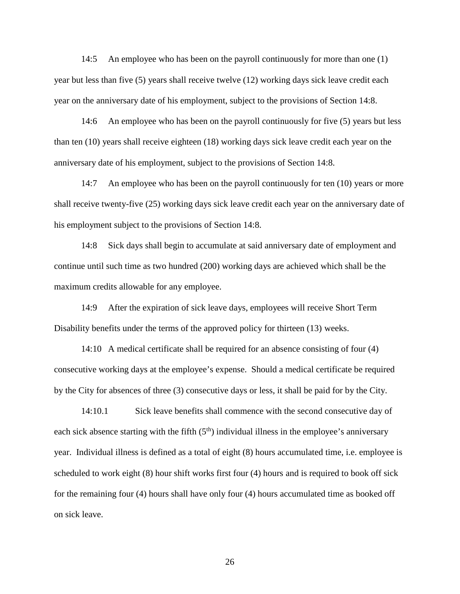14:5 An employee who has been on the payroll continuously for more than one (1) year but less than five (5) years shall receive twelve (12) working days sick leave credit each year on the anniversary date of his employment, subject to the provisions of Section 14:8.

14:6 An employee who has been on the payroll continuously for five (5) years but less than ten (10) years shall receive eighteen (18) working days sick leave credit each year on the anniversary date of his employment, subject to the provisions of Section 14:8.

14:7 An employee who has been on the payroll continuously for ten (10) years or more shall receive twenty-five (25) working days sick leave credit each year on the anniversary date of his employment subject to the provisions of Section 14:8.

14:8 Sick days shall begin to accumulate at said anniversary date of employment and continue until such time as two hundred (200) working days are achieved which shall be the maximum credits allowable for any employee.

14:9 After the expiration of sick leave days, employees will receive Short Term Disability benefits under the terms of the approved policy for thirteen (13) weeks.

14:10 A medical certificate shall be required for an absence consisting of four (4) consecutive working days at the employee's expense. Should a medical certificate be required by the City for absences of three (3) consecutive days or less, it shall be paid for by the City.

14:10.1 Sick leave benefits shall commence with the second consecutive day of each sick absence starting with the fifth  $(5<sup>th</sup>)$  individual illness in the employee's anniversary year. Individual illness is defined as a total of eight (8) hours accumulated time, i.e. employee is scheduled to work eight (8) hour shift works first four (4) hours and is required to book off sick for the remaining four (4) hours shall have only four (4) hours accumulated time as booked off on sick leave.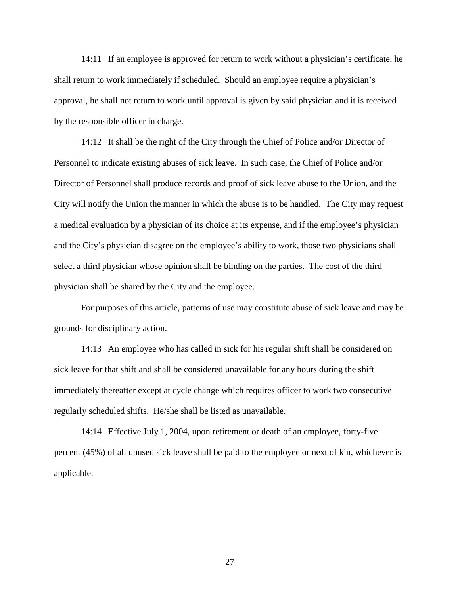14:11 If an employee is approved for return to work without a physician's certificate, he shall return to work immediately if scheduled. Should an employee require a physician's approval, he shall not return to work until approval is given by said physician and it is received by the responsible officer in charge.

14:12 It shall be the right of the City through the Chief of Police and/or Director of Personnel to indicate existing abuses of sick leave. In such case, the Chief of Police and/or Director of Personnel shall produce records and proof of sick leave abuse to the Union, and the City will notify the Union the manner in which the abuse is to be handled. The City may request a medical evaluation by a physician of its choice at its expense, and if the employee's physician and the City's physician disagree on the employee's ability to work, those two physicians shall select a third physician whose opinion shall be binding on the parties. The cost of the third physician shall be shared by the City and the employee.

For purposes of this article, patterns of use may constitute abuse of sick leave and may be grounds for disciplinary action.

14:13 An employee who has called in sick for his regular shift shall be considered on sick leave for that shift and shall be considered unavailable for any hours during the shift immediately thereafter except at cycle change which requires officer to work two consecutive regularly scheduled shifts. He/she shall be listed as unavailable.

14:14 Effective July 1, 2004, upon retirement or death of an employee, forty-five percent (45%) of all unused sick leave shall be paid to the employee or next of kin, whichever is applicable.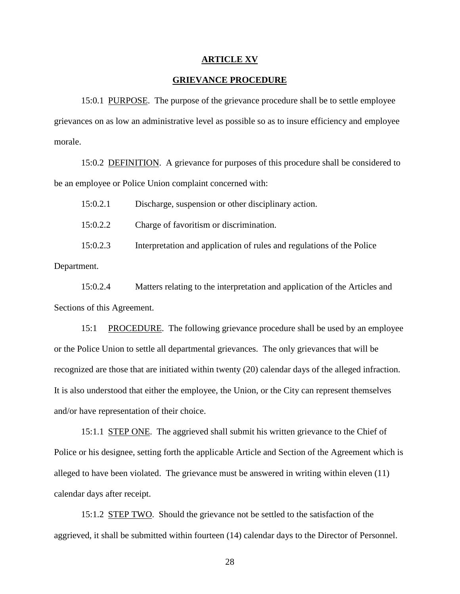#### **ARTICLE XV**

## **GRIEVANCE PROCEDURE**

15:0.1 PURPOSE. The purpose of the grievance procedure shall be to settle employee grievances on as low an administrative level as possible so as to insure efficiency and employee morale.

15:0.2 DEFINITION. A grievance for purposes of this procedure shall be considered to be an employee or Police Union complaint concerned with:

15:0.2.1 Discharge, suspension or other disciplinary action. 15:0.2.2 Charge of favoritism or discrimination. 15:0.2.3 Interpretation and application of rules and regulations of the Police

Department.

15:0.2.4 Matters relating to the interpretation and application of the Articles and Sections of this Agreement.

15:1 PROCEDURE. The following grievance procedure shall be used by an employee or the Police Union to settle all departmental grievances. The only grievances that will be recognized are those that are initiated within twenty (20) calendar days of the alleged infraction. It is also understood that either the employee, the Union, or the City can represent themselves and/or have representation of their choice.

15:1.1 STEP ONE. The aggrieved shall submit his written grievance to the Chief of Police or his designee, setting forth the applicable Article and Section of the Agreement which is alleged to have been violated. The grievance must be answered in writing within eleven (11) calendar days after receipt.

15:1.2 STEP TWO. Should the grievance not be settled to the satisfaction of the aggrieved, it shall be submitted within fourteen (14) calendar days to the Director of Personnel.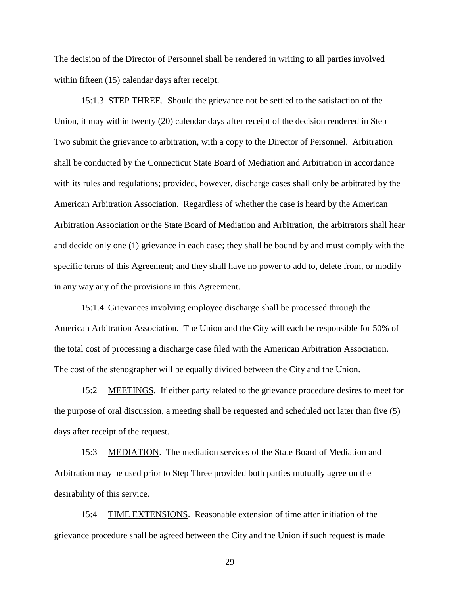The decision of the Director of Personnel shall be rendered in writing to all parties involved within fifteen (15) calendar days after receipt.

15:1.3 STEP THREE. Should the grievance not be settled to the satisfaction of the Union, it may within twenty (20) calendar days after receipt of the decision rendered in Step Two submit the grievance to arbitration, with a copy to the Director of Personnel. Arbitration shall be conducted by the Connecticut State Board of Mediation and Arbitration in accordance with its rules and regulations; provided, however, discharge cases shall only be arbitrated by the American Arbitration Association. Regardless of whether the case is heard by the American Arbitration Association or the State Board of Mediation and Arbitration, the arbitrators shall hear and decide only one (1) grievance in each case; they shall be bound by and must comply with the specific terms of this Agreement; and they shall have no power to add to, delete from, or modify in any way any of the provisions in this Agreement.

15:1.4 Grievances involving employee discharge shall be processed through the American Arbitration Association. The Union and the City will each be responsible for 50% of the total cost of processing a discharge case filed with the American Arbitration Association. The cost of the stenographer will be equally divided between the City and the Union.

15:2 MEETINGS. If either party related to the grievance procedure desires to meet for the purpose of oral discussion, a meeting shall be requested and scheduled not later than five (5) days after receipt of the request.

15:3 MEDIATION. The mediation services of the State Board of Mediation and Arbitration may be used prior to Step Three provided both parties mutually agree on the desirability of this service.

15:4 TIME EXTENSIONS. Reasonable extension of time after initiation of the grievance procedure shall be agreed between the City and the Union if such request is made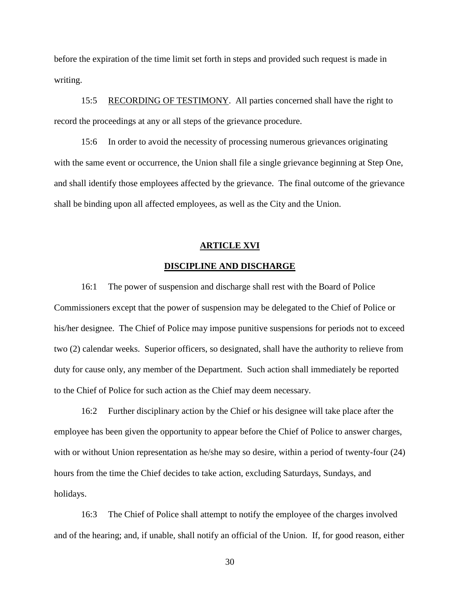before the expiration of the time limit set forth in steps and provided such request is made in writing.

15:5 RECORDING OF TESTIMONY. All parties concerned shall have the right to record the proceedings at any or all steps of the grievance procedure.

15:6 In order to avoid the necessity of processing numerous grievances originating with the same event or occurrence, the Union shall file a single grievance beginning at Step One, and shall identify those employees affected by the grievance. The final outcome of the grievance shall be binding upon all affected employees, as well as the City and the Union.

## **ARTICLE XVI**

## **DISCIPLINE AND DISCHARGE**

16:1 The power of suspension and discharge shall rest with the Board of Police Commissioners except that the power of suspension may be delegated to the Chief of Police or his/her designee. The Chief of Police may impose punitive suspensions for periods not to exceed two (2) calendar weeks. Superior officers, so designated, shall have the authority to relieve from duty for cause only, any member of the Department. Such action shall immediately be reported to the Chief of Police for such action as the Chief may deem necessary.

16:2 Further disciplinary action by the Chief or his designee will take place after the employee has been given the opportunity to appear before the Chief of Police to answer charges, with or without Union representation as he/she may so desire, within a period of twenty-four (24) hours from the time the Chief decides to take action, excluding Saturdays, Sundays, and holidays.

16:3 The Chief of Police shall attempt to notify the employee of the charges involved and of the hearing; and, if unable, shall notify an official of the Union. If, for good reason, either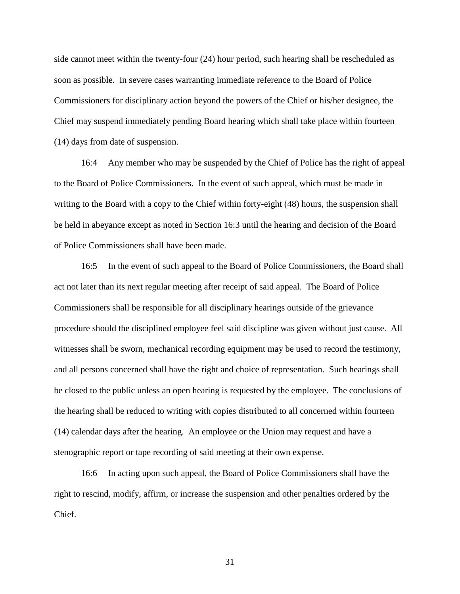side cannot meet within the twenty-four (24) hour period, such hearing shall be rescheduled as soon as possible. In severe cases warranting immediate reference to the Board of Police Commissioners for disciplinary action beyond the powers of the Chief or his/her designee, the Chief may suspend immediately pending Board hearing which shall take place within fourteen (14) days from date of suspension.

16:4 Any member who may be suspended by the Chief of Police has the right of appeal to the Board of Police Commissioners. In the event of such appeal, which must be made in writing to the Board with a copy to the Chief within forty-eight (48) hours, the suspension shall be held in abeyance except as noted in Section 16:3 until the hearing and decision of the Board of Police Commissioners shall have been made.

16:5 In the event of such appeal to the Board of Police Commissioners, the Board shall act not later than its next regular meeting after receipt of said appeal. The Board of Police Commissioners shall be responsible for all disciplinary hearings outside of the grievance procedure should the disciplined employee feel said discipline was given without just cause. All witnesses shall be sworn, mechanical recording equipment may be used to record the testimony, and all persons concerned shall have the right and choice of representation. Such hearings shall be closed to the public unless an open hearing is requested by the employee. The conclusions of the hearing shall be reduced to writing with copies distributed to all concerned within fourteen (14) calendar days after the hearing. An employee or the Union may request and have a stenographic report or tape recording of said meeting at their own expense.

16:6 In acting upon such appeal, the Board of Police Commissioners shall have the right to rescind, modify, affirm, or increase the suspension and other penalties ordered by the Chief.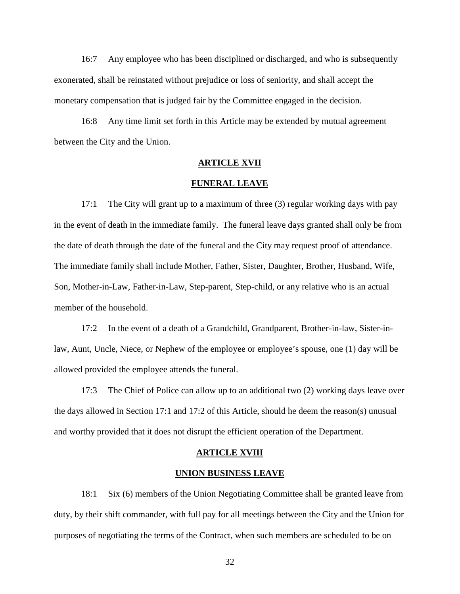16:7 Any employee who has been disciplined or discharged, and who is subsequently exonerated, shall be reinstated without prejudice or loss of seniority, and shall accept the monetary compensation that is judged fair by the Committee engaged in the decision.

16:8 Any time limit set forth in this Article may be extended by mutual agreement between the City and the Union.

## **ARTICLE XVII**

#### **FUNERAL LEAVE**

17:1 The City will grant up to a maximum of three (3) regular working days with pay in the event of death in the immediate family. The funeral leave days granted shall only be from the date of death through the date of the funeral and the City may request proof of attendance. The immediate family shall include Mother, Father, Sister, Daughter, Brother, Husband, Wife, Son, Mother-in-Law, Father-in-Law, Step-parent, Step-child, or any relative who is an actual member of the household.

17:2 In the event of a death of a Grandchild, Grandparent, Brother-in-law, Sister-inlaw, Aunt, Uncle, Niece, or Nephew of the employee or employee's spouse, one (1) day will be allowed provided the employee attends the funeral.

17:3 The Chief of Police can allow up to an additional two (2) working days leave over the days allowed in Section 17:1 and 17:2 of this Article, should he deem the reason(s) unusual and worthy provided that it does not disrupt the efficient operation of the Department.

#### **ARTICLE XVIII**

## **UNION BUSINESS LEAVE**

18:1 Six (6) members of the Union Negotiating Committee shall be granted leave from duty, by their shift commander, with full pay for all meetings between the City and the Union for purposes of negotiating the terms of the Contract, when such members are scheduled to be on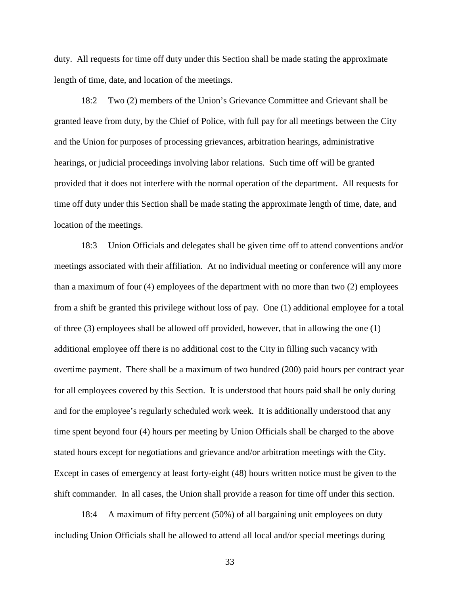duty. All requests for time off duty under this Section shall be made stating the approximate length of time, date, and location of the meetings.

18:2 Two (2) members of the Union's Grievance Committee and Grievant shall be granted leave from duty, by the Chief of Police, with full pay for all meetings between the City and the Union for purposes of processing grievances, arbitration hearings, administrative hearings, or judicial proceedings involving labor relations. Such time off will be granted provided that it does not interfere with the normal operation of the department. All requests for time off duty under this Section shall be made stating the approximate length of time, date, and location of the meetings.

18:3 Union Officials and delegates shall be given time off to attend conventions and/or meetings associated with their affiliation. At no individual meeting or conference will any more than a maximum of four (4) employees of the department with no more than two (2) employees from a shift be granted this privilege without loss of pay. One (1) additional employee for a total of three (3) employees shall be allowed off provided, however, that in allowing the one (1) additional employee off there is no additional cost to the City in filling such vacancy with overtime payment. There shall be a maximum of two hundred (200) paid hours per contract year for all employees covered by this Section. It is understood that hours paid shall be only during and for the employee's regularly scheduled work week. It is additionally understood that any time spent beyond four (4) hours per meeting by Union Officials shall be charged to the above stated hours except for negotiations and grievance and/or arbitration meetings with the City. Except in cases of emergency at least forty-eight (48) hours written notice must be given to the shift commander. In all cases, the Union shall provide a reason for time off under this section.

18:4 A maximum of fifty percent (50%) of all bargaining unit employees on duty including Union Officials shall be allowed to attend all local and/or special meetings during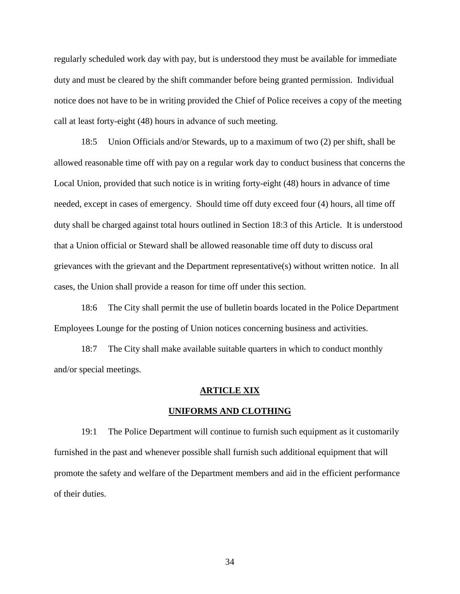regularly scheduled work day with pay, but is understood they must be available for immediate duty and must be cleared by the shift commander before being granted permission. Individual notice does not have to be in writing provided the Chief of Police receives a copy of the meeting call at least forty-eight (48) hours in advance of such meeting.

18:5 Union Officials and/or Stewards, up to a maximum of two (2) per shift, shall be allowed reasonable time off with pay on a regular work day to conduct business that concerns the Local Union, provided that such notice is in writing forty-eight (48) hours in advance of time needed, except in cases of emergency. Should time off duty exceed four (4) hours, all time off duty shall be charged against total hours outlined in Section 18:3 of this Article. It is understood that a Union official or Steward shall be allowed reasonable time off duty to discuss oral grievances with the grievant and the Department representative(s) without written notice. In all cases, the Union shall provide a reason for time off under this section.

18:6 The City shall permit the use of bulletin boards located in the Police Department Employees Lounge for the posting of Union notices concerning business and activities.

18:7 The City shall make available suitable quarters in which to conduct monthly and/or special meetings.

#### **ARTICLE XIX**

#### **UNIFORMS AND CLOTHING**

19:1 The Police Department will continue to furnish such equipment as it customarily furnished in the past and whenever possible shall furnish such additional equipment that will promote the safety and welfare of the Department members and aid in the efficient performance of their duties.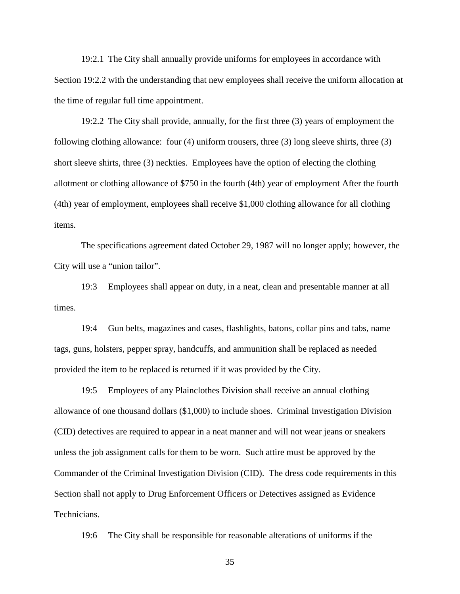19:2.1 The City shall annually provide uniforms for employees in accordance with Section 19:2.2 with the understanding that new employees shall receive the uniform allocation at the time of regular full time appointment.

19:2.2 The City shall provide, annually, for the first three (3) years of employment the following clothing allowance: four (4) uniform trousers, three (3) long sleeve shirts, three (3) short sleeve shirts, three (3) neckties. Employees have the option of electing the clothing allotment or clothing allowance of \$750 in the fourth (4th) year of employment After the fourth (4th) year of employment, employees shall receive \$1,000 clothing allowance for all clothing items.

The specifications agreement dated October 29, 1987 will no longer apply; however, the City will use a "union tailor".

19:3 Employees shall appear on duty, in a neat, clean and presentable manner at all times.

19:4 Gun belts, magazines and cases, flashlights, batons, collar pins and tabs, name tags, guns, holsters, pepper spray, handcuffs, and ammunition shall be replaced as needed provided the item to be replaced is returned if it was provided by the City.

19:5 Employees of any Plainclothes Division shall receive an annual clothing allowance of one thousand dollars (\$1,000) to include shoes. Criminal Investigation Division (CID) detectives are required to appear in a neat manner and will not wear jeans or sneakers unless the job assignment calls for them to be worn. Such attire must be approved by the Commander of the Criminal Investigation Division (CID). The dress code requirements in this Section shall not apply to Drug Enforcement Officers or Detectives assigned as Evidence Technicians.

19:6 The City shall be responsible for reasonable alterations of uniforms if the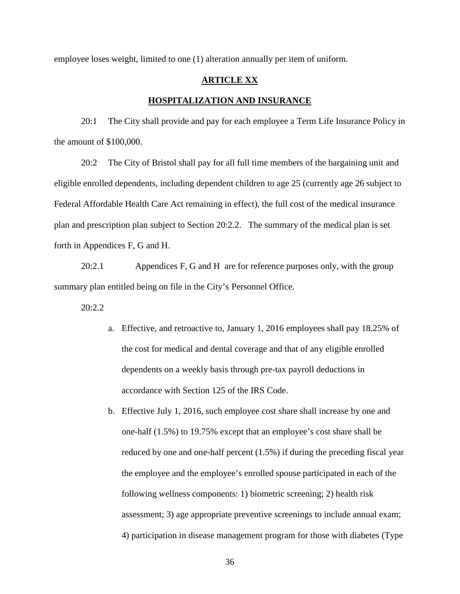employee loses weight, limited to one (1) alteration annually per item of uniform.

## **ARTICLE XX**

### **HOSPITALIZATION AND INSURANCE**

20:1 The City shall provide and pay for each employee a Term Life Insurance Policy in the amount of \$100,000.

20:2 The City of Bristol shall pay for all full time members of the bargaining unit and eligible enrolled dependents, including dependent children to age 25 (currently age 26 subject to Federal Affordable Health Care Act remaining in effect), the full cost of the medical insurance plan and prescription plan subject to Section 20:2.2. The summary of the medical plan is set forth in Appendices F, G and H.

20:2.1 Appendices F, G and H are for reference purposes only, with the group summary plan entitled being on file in the City's Personnel Office.

20:2.2

- a. Effective, and retroactive to, January 1, 2016 employees shall pay 18.25% of the cost for medical and dental coverage and that of any eligible enrolled dependents on a weekly basis through pre-tax payroll deductions in accordance with Section 125 of the IRS Code.
- b. Effective July 1, 2016, such employee cost share shall increase by one and one-half (1.5%) to 19.75% except that an employee's cost share shall be reduced by one and one-half percent (1.5%) if during the preceding fiscal year the employee and the employee's enrolled spouse participated in each of the following wellness components: 1) biometric screening; 2) health risk assessment; 3) age appropriate preventive screenings to include annual exam; 4) participation in disease management program for those with diabetes (Type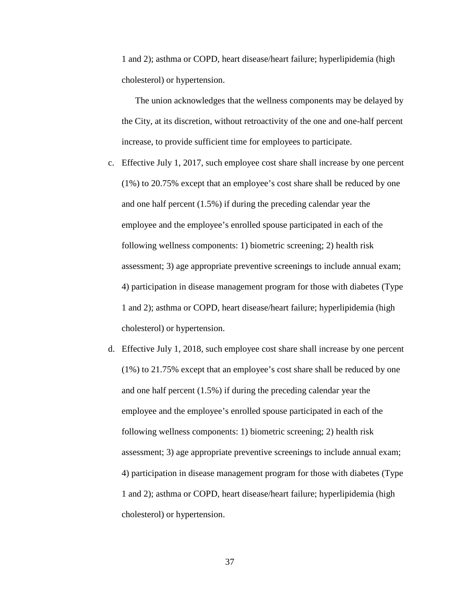1 and 2); asthma or COPD, heart disease/heart failure; hyperlipidemia (high cholesterol) or hypertension.

The union acknowledges that the wellness components may be delayed by the City, at its discretion, without retroactivity of the one and one-half percent increase, to provide sufficient time for employees to participate.

- c. Effective July 1, 2017, such employee cost share shall increase by one percent (1%) to 20.75% except that an employee's cost share shall be reduced by one and one half percent (1.5%) if during the preceding calendar year the employee and the employee's enrolled spouse participated in each of the following wellness components: 1) biometric screening; 2) health risk assessment; 3) age appropriate preventive screenings to include annual exam; 4) participation in disease management program for those with diabetes (Type 1 and 2); asthma or COPD, heart disease/heart failure; hyperlipidemia (high cholesterol) or hypertension.
- d. Effective July 1, 2018, such employee cost share shall increase by one percent (1%) to 21.75% except that an employee's cost share shall be reduced by one and one half percent (1.5%) if during the preceding calendar year the employee and the employee's enrolled spouse participated in each of the following wellness components: 1) biometric screening; 2) health risk assessment; 3) age appropriate preventive screenings to include annual exam; 4) participation in disease management program for those with diabetes (Type 1 and 2); asthma or COPD, heart disease/heart failure; hyperlipidemia (high cholesterol) or hypertension.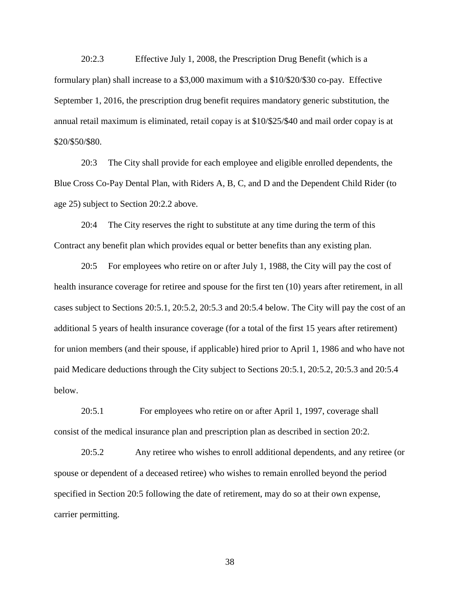20:2.3 Effective July 1, 2008, the Prescription Drug Benefit (which is a formulary plan) shall increase to a \$3,000 maximum with a \$10/\$20/\$30 co-pay. Effective September 1, 2016, the prescription drug benefit requires mandatory generic substitution, the annual retail maximum is eliminated, retail copay is at \$10/\$25/\$40 and mail order copay is at \$20/\$50/\$80.

20:3 The City shall provide for each employee and eligible enrolled dependents, the Blue Cross Co-Pay Dental Plan, with Riders A, B, C, and D and the Dependent Child Rider (to age 25) subject to Section 20:2.2 above.

20:4 The City reserves the right to substitute at any time during the term of this Contract any benefit plan which provides equal or better benefits than any existing plan.

20:5 For employees who retire on or after July 1, 1988, the City will pay the cost of health insurance coverage for retiree and spouse for the first ten (10) years after retirement, in all cases subject to Sections 20:5.1, 20:5.2, 20:5.3 and 20:5.4 below. The City will pay the cost of an additional 5 years of health insurance coverage (for a total of the first 15 years after retirement) for union members (and their spouse, if applicable) hired prior to April 1, 1986 and who have not paid Medicare deductions through the City subject to Sections 20:5.1, 20:5.2, 20:5.3 and 20:5.4 below.

20:5.1 For employees who retire on or after April 1, 1997, coverage shall consist of the medical insurance plan and prescription plan as described in section 20:2.

20:5.2 Any retiree who wishes to enroll additional dependents, and any retiree (or spouse or dependent of a deceased retiree) who wishes to remain enrolled beyond the period specified in Section 20:5 following the date of retirement, may do so at their own expense, carrier permitting.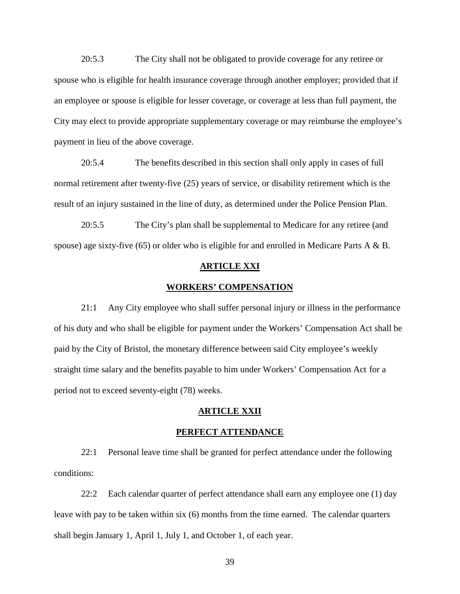20:5.3 The City shall not be obligated to provide coverage for any retiree or spouse who is eligible for health insurance coverage through another employer; provided that if an employee or spouse is eligible for lesser coverage, or coverage at less than full payment, the City may elect to provide appropriate supplementary coverage or may reimburse the employee's payment in lieu of the above coverage.

20:5.4 The benefits described in this section shall only apply in cases of full normal retirement after twenty-five (25) years of service, or disability retirement which is the result of an injury sustained in the line of duty, as determined under the Police Pension Plan.

20:5.5 The City's plan shall be supplemental to Medicare for any retiree (and spouse) age sixty-five (65) or older who is eligible for and enrolled in Medicare Parts A & B.

### **ARTICLE XXI**

#### **WORKERS' COMPENSATION**

21:1 Any City employee who shall suffer personal injury or illness in the performance of his duty and who shall be eligible for payment under the Workers' Compensation Act shall be paid by the City of Bristol, the monetary difference between said City employee's weekly straight time salary and the benefits payable to him under Workers' Compensation Act for a period not to exceed seventy-eight (78) weeks.

#### **ARTICLE XXII**

#### **PERFECT ATTENDANCE**

22:1 Personal leave time shall be granted for perfect attendance under the following conditions:

22:2 Each calendar quarter of perfect attendance shall earn any employee one (1) day leave with pay to be taken within six (6) months from the time earned. The calendar quarters shall begin January 1, April 1, July 1, and October 1, of each year.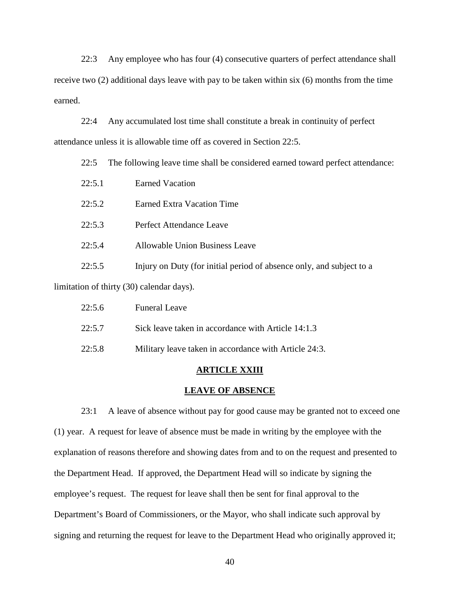22:3 Any employee who has four (4) consecutive quarters of perfect attendance shall receive two (2) additional days leave with pay to be taken within six (6) months from the time earned.

22:4 Any accumulated lost time shall constitute a break in continuity of perfect attendance unless it is allowable time off as covered in Section 22:5.

22:5 The following leave time shall be considered earned toward perfect attendance:

| 22:5.1                                    | <b>Earned Vacation</b>                                               |  |
|-------------------------------------------|----------------------------------------------------------------------|--|
| 22:5.2                                    | Earned Extra Vacation Time                                           |  |
| 22:5.3                                    | Perfect Attendance Leave                                             |  |
| 22:5.4                                    | Allowable Union Business Leave                                       |  |
| 22:5.5                                    | Injury on Duty (for initial period of absence only, and subject to a |  |
| limitation of thirty (30) calendar days). |                                                                      |  |

| 22:5.6 | <b>Funeral Leave</b>                                  |
|--------|-------------------------------------------------------|
| 22:5.7 | Sick leave taken in accordance with Article 14:1.3    |
| 22:5.8 | Military leave taken in accordance with Article 24:3. |

#### **ARTICLE XXIII**

#### **LEAVE OF ABSENCE**

23:1 A leave of absence without pay for good cause may be granted not to exceed one (1) year. A request for leave of absence must be made in writing by the employee with the explanation of reasons therefore and showing dates from and to on the request and presented to the Department Head. If approved, the Department Head will so indicate by signing the employee's request. The request for leave shall then be sent for final approval to the Department's Board of Commissioners, or the Mayor, who shall indicate such approval by signing and returning the request for leave to the Department Head who originally approved it;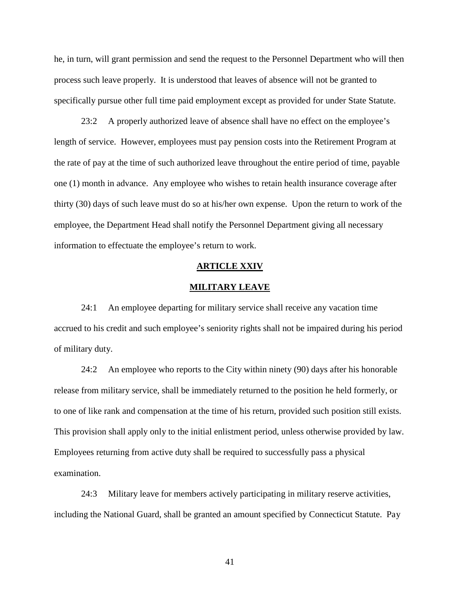he, in turn, will grant permission and send the request to the Personnel Department who will then process such leave properly. It is understood that leaves of absence will not be granted to specifically pursue other full time paid employment except as provided for under State Statute.

23:2 A properly authorized leave of absence shall have no effect on the employee's length of service. However, employees must pay pension costs into the Retirement Program at the rate of pay at the time of such authorized leave throughout the entire period of time, payable one (1) month in advance. Any employee who wishes to retain health insurance coverage after thirty (30) days of such leave must do so at his/her own expense. Upon the return to work of the employee, the Department Head shall notify the Personnel Department giving all necessary information to effectuate the employee's return to work.

### **ARTICLE XXIV**

#### **MILITARY LEAVE**

24:1 An employee departing for military service shall receive any vacation time accrued to his credit and such employee's seniority rights shall not be impaired during his period of military duty.

24:2 An employee who reports to the City within ninety (90) days after his honorable release from military service, shall be immediately returned to the position he held formerly, or to one of like rank and compensation at the time of his return, provided such position still exists. This provision shall apply only to the initial enlistment period, unless otherwise provided by law. Employees returning from active duty shall be required to successfully pass a physical examination.

24:3 Military leave for members actively participating in military reserve activities, including the National Guard, shall be granted an amount specified by Connecticut Statute. Pay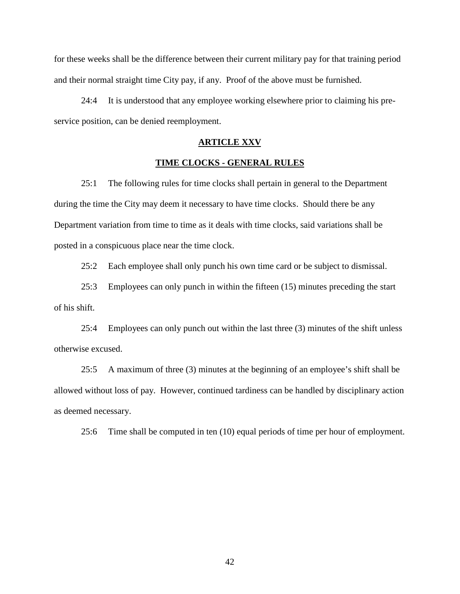for these weeks shall be the difference between their current military pay for that training period and their normal straight time City pay, if any. Proof of the above must be furnished.

24:4 It is understood that any employee working elsewhere prior to claiming his pre service position, can be denied reemployment.

## **ARTICLE XXV**

## **TIME CLOCKS - GENERAL RULES**

25:1 The following rules for time clocks shall pertain in general to the Department during the time the City may deem it necessary to have time clocks. Should there be any Department variation from time to time as it deals with time clocks, said variations shall be posted in a conspicuous place near the time clock.

25:2 Each employee shall only punch his own time card or be subject to dismissal.

25:3 Employees can only punch in within the fifteen (15) minutes preceding the start of his shift.

25:4 Employees can only punch out within the last three (3) minutes of the shift unless otherwise excused.

25:5 A maximum of three (3) minutes at the beginning of an employee's shift shall be allowed without loss of pay. However, continued tardiness can be handled by disciplinary action as deemed necessary.

25:6 Time shall be computed in ten (10) equal periods of time per hour of employment.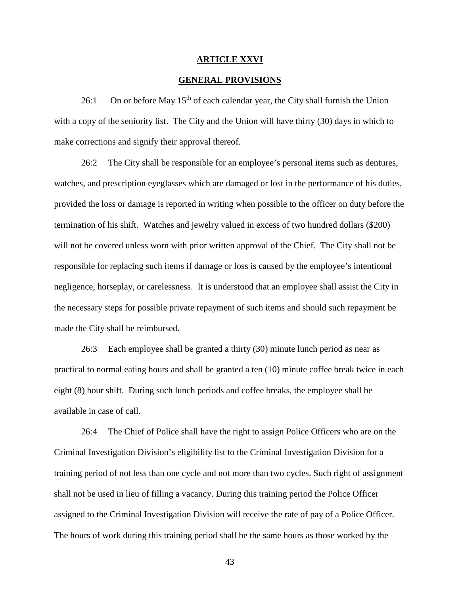#### **ARTICLE XXVI**

### **GENERAL PROVISIONS**

26:1 On or before May  $15<sup>th</sup>$  of each calendar year, the City shall furnish the Union with a copy of the seniority list. The City and the Union will have thirty (30) days in which to make corrections and signify their approval thereof.

26:2 The City shall be responsible for an employee's personal items such as dentures, watches, and prescription eyeglasses which are damaged or lost in the performance of his duties, provided the loss or damage is reported in writing when possible to the officer on duty before the termination of his shift. Watches and jewelry valued in excess of two hundred dollars (\$200) will not be covered unless worn with prior written approval of the Chief. The City shall not be responsible for replacing such items if damage or loss is caused by the employee's intentional negligence, horseplay, or carelessness. It is understood that an employee shall assist the City in the necessary steps for possible private repayment of such items and should such repayment be made the City shall be reimbursed.

26:3 Each employee shall be granted a thirty (30) minute lunch period as near as practical to normal eating hours and shall be granted a ten (10) minute coffee break twice in each eight (8) hour shift. During such lunch periods and coffee breaks, the employee shall be available in case of call.

26:4 The Chief of Police shall have the right to assign Police Officers who are on the Criminal Investigation Division's eligibility list to the Criminal Investigation Division for a training period of not less than one cycle and not more than two cycles. Such right of assignment shall not be used in lieu of filling a vacancy. During this training period the Police Officer assigned to the Criminal Investigation Division will receive the rate of pay of a Police Officer. The hours of work during this training period shall be the same hours as those worked by the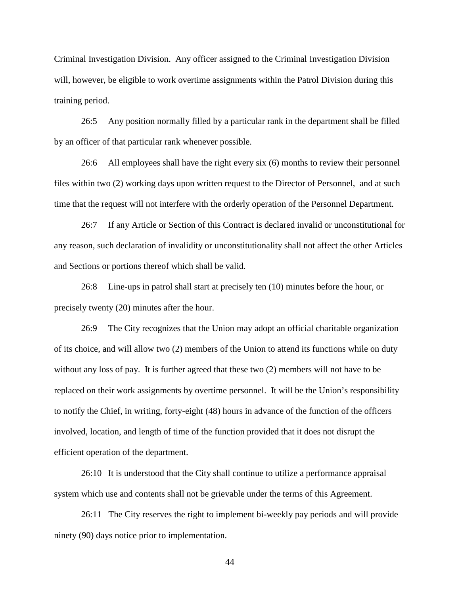Criminal Investigation Division. Any officer assigned to the Criminal Investigation Division will, however, be eligible to work overtime assignments within the Patrol Division during this training period.

26:5 Any position normally filled by a particular rank in the department shall be filled by an officer of that particular rank whenever possible.

26:6 All employees shall have the right every six (6) months to review their personnel files within two (2) working days upon written request to the Director of Personnel, and at such time that the request will not interfere with the orderly operation of the Personnel Department.

26:7 If any Article or Section of this Contract is declared invalid or unconstitutional for any reason, such declaration of invalidity or unconstitutionality shall not affect the other Articles and Sections or portions thereof which shall be valid.

26:8 Line-ups in patrol shall start at precisely ten (10) minutes before the hour, or precisely twenty (20) minutes after the hour.

26:9 The City recognizes that the Union may adopt an official charitable organization of its choice, and will allow two (2) members of the Union to attend its functions while on duty without any loss of pay. It is further agreed that these two (2) members will not have to be replaced on their work assignments by overtime personnel. It will be the Union's responsibility to notify the Chief, in writing, forty-eight (48) hours in advance of the function of the officers involved, location, and length of time of the function provided that it does not disrupt the efficient operation of the department.

26:10 It is understood that the City shall continue to utilize a performance appraisal system which use and contents shall not be grievable under the terms of this Agreement.

26:11 The City reserves the right to implement bi-weekly pay periods and will provide ninety (90) days notice prior to implementation.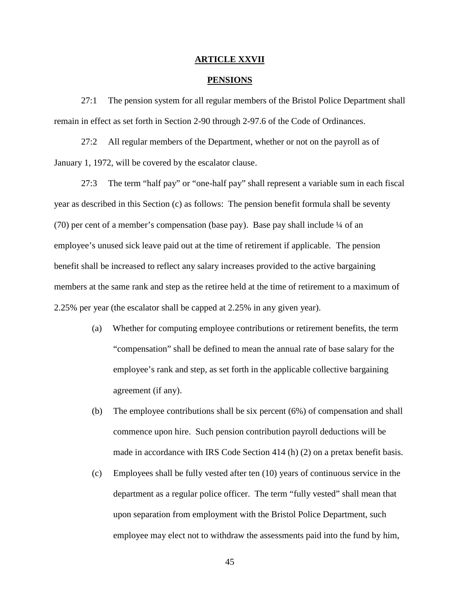#### **ARTICLE XXVII**

#### **PENSIONS**

27:1 The pension system for all regular members of the Bristol Police Department shall remain in effect as set forth in Section 2-90 through 2-97.6 of the Code of Ordinances.

27:2 All regular members of the Department, whether or not on the payroll as of January 1, 1972, will be covered by the escalator clause.

27:3 The term "half pay" or "one-half pay" shall represent a variable sum in each fiscal year as described in this Section (c) as follows: The pension benefit formula shall be seventy (70) per cent of a member's compensation (base pay). Base pay shall include ¼ of an employee's unused sick leave paid out at the time of retirement if applicable. The pension benefit shall be increased to reflect any salary increases provided to the active bargaining members at the same rank and step as the retiree held at the time of retirement to a maximum of 2.25% per year (the escalator shall be capped at 2.25% in any given year).

- (a) Whether for computing employee contributions or retirement benefits, the term "compensation" shall be defined to mean the annual rate of base salary for the employee's rank and step, as set forth in the applicable collective bargaining agreement (if any).
- (b) The employee contributions shall be six percent (6%) of compensation and shall commence upon hire. Such pension contribution payroll deductions will be made in accordance with IRS Code Section 414 (h) (2) on a pretax benefit basis.
- (c) Employees shall be fully vested after ten (10) years of continuous service in the department as a regular police officer. The term "fully vested" shall mean that upon separation from employment with the Bristol Police Department, such employee may elect not to withdraw the assessments paid into the fund by him,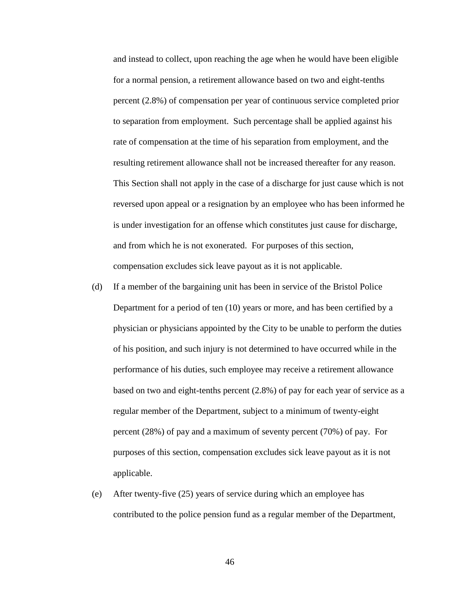and instead to collect, upon reaching the age when he would have been eligible for a normal pension, a retirement allowance based on two and eight-tenths percent (2.8%) of compensation per year of continuous service completed prior to separation from employment. Such percentage shall be applied against his rate of compensation at the time of his separation from employment, and the resulting retirement allowance shall not be increased thereafter for any reason. This Section shall not apply in the case of a discharge for just cause which is not reversed upon appeal or a resignation by an employee who has been informed he is under investigation for an offense which constitutes just cause for discharge, and from which he is not exonerated. For purposes of this section, compensation excludes sick leave payout as it is not applicable.

- (d) If a member of the bargaining unit has been in service of the Bristol Police Department for a period of ten (10) years or more, and has been certified by a physician or physicians appointed by the City to be unable to perform the duties of his position, and such injury is not determined to have occurred while in the performance of his duties, such employee may receive a retirement allowance based on two and eight-tenths percent (2.8%) of pay for each year of service as a regular member of the Department, subject to a minimum of twenty-eight percent (28%) of pay and a maximum of seventy percent (70%) of pay. For purposes of this section, compensation excludes sick leave payout as it is not applicable.
- (e) After twenty-five (25) years of service during which an employee has contributed to the police pension fund as a regular member of the Department,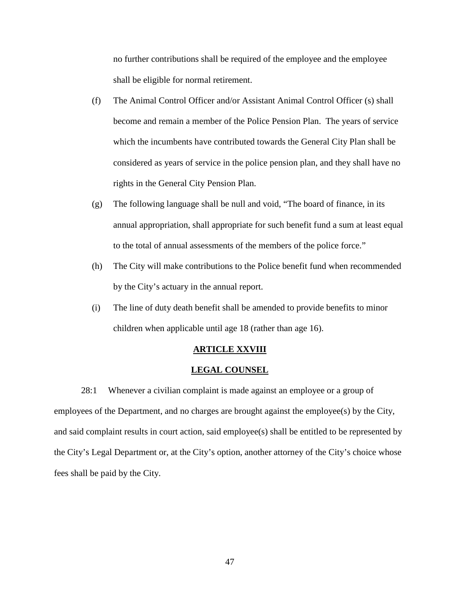no further contributions shall be required of the employee and the employee shall be eligible for normal retirement.

- (f) The Animal Control Officer and/or Assistant Animal Control Officer (s) shall become and remain a member of the Police Pension Plan. The years of service which the incumbents have contributed towards the General City Plan shall be considered as years of service in the police pension plan, and they shall have no rights in the General City Pension Plan.
- (g) The following language shall be null and void, "The board of finance, in its annual appropriation, shall appropriate for such benefit fund a sum at least equal to the total of annual assessments of the members of the police force."
- (h) The City will make contributions to the Police benefit fund when recommended by the City's actuary in the annual report.
- (i) The line of duty death benefit shall be amended to provide benefits to minor children when applicable until age 18 (rather than age 16).

## **ARTICLE XXVIII**

#### **LEGAL COUNSEL**

28:1 Whenever a civilian complaint is made against an employee or a group of employees of the Department, and no charges are brought against the employee(s) by the City, and said complaint results in court action, said employee(s) shall be entitled to be represented by the City's Legal Department or, at the City's option, another attorney of the City's choice whose fees shall be paid by the City.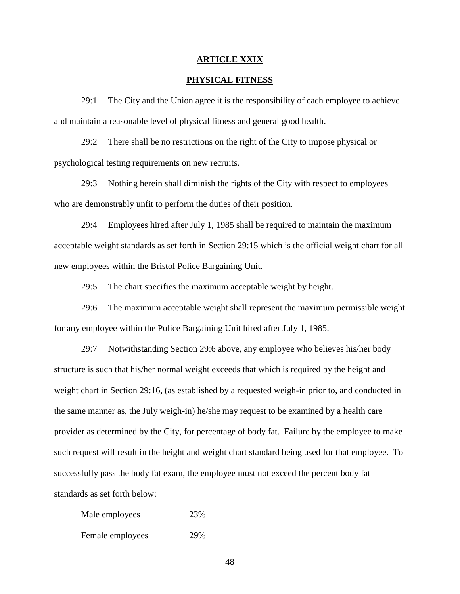### **ARTICLE XXIX**

## **PHYSICAL FITNESS**

29:1 The City and the Union agree it is the responsibility of each employee to achieve and maintain a reasonable level of physical fitness and general good health.

29:2 There shall be no restrictions on the right of the City to impose physical or psychological testing requirements on new recruits.

29:3 Nothing herein shall diminish the rights of the City with respect to employees who are demonstrably unfit to perform the duties of their position.

29:4 Employees hired after July 1, 1985 shall be required to maintain the maximum acceptable weight standards as set forth in Section 29:15 which is the official weight chart for all new employees within the Bristol Police Bargaining Unit.

29:5 The chart specifies the maximum acceptable weight by height.

29:6 The maximum acceptable weight shall represent the maximum permissible weight for any employee within the Police Bargaining Unit hired after July 1, 1985.

29:7 Notwithstanding Section 29:6 above, any employee who believes his/her body structure is such that his/her normal weight exceeds that which is required by the height and weight chart in Section 29:16, (as established by a requested weigh-in prior to, and conducted in the same manner as, the July weigh-in) he/she may request to be examined by a health care provider as determined by the City, for percentage of body fat. Failure by the employee to make such request will result in the height and weight chart standard being used for that employee. To successfully pass the body fat exam, the employee must not exceed the percent body fat standards as set forth below:

Male employees 23% Female employees 29%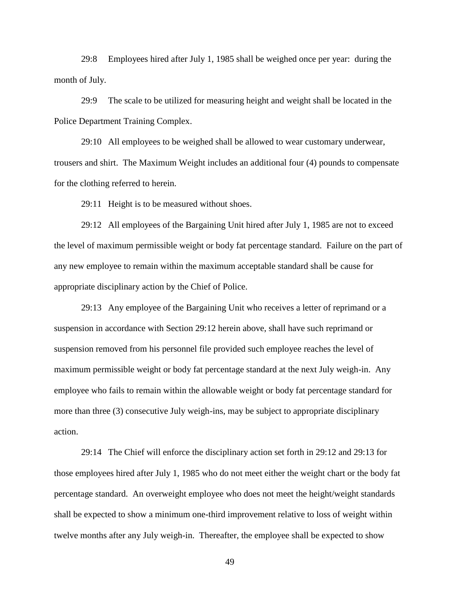29:8 Employees hired after July 1, 1985 shall be weighed once per year: during the month of July.

29:9 The scale to be utilized for measuring height and weight shall be located in the Police Department Training Complex.

29:10 All employees to be weighed shall be allowed to wear customary underwear, trousers and shirt. The Maximum Weight includes an additional four (4) pounds to compensate for the clothing referred to herein.

29:11 Height is to be measured without shoes.

29:12 All employees of the Bargaining Unit hired after July 1, 1985 are not to exceed the level of maximum permissible weight or body fat percentage standard. Failure on the part of any new employee to remain within the maximum acceptable standard shall be cause for appropriate disciplinary action by the Chief of Police.

29:13 Any employee of the Bargaining Unit who receives a letter of reprimand or a suspension in accordance with Section 29:12 herein above, shall have such reprimand or suspension removed from his personnel file provided such employee reaches the level of maximum permissible weight or body fat percentage standard at the next July weigh-in. Any employee who fails to remain within the allowable weight or body fat percentage standard for more than three (3) consecutive July weigh-ins, may be subject to appropriate disciplinary action.

29:14 The Chief will enforce the disciplinary action set forth in 29:12 and 29:13 for those employees hired after July 1, 1985 who do not meet either the weight chart or the body fat percentage standard. An overweight employee who does not meet the height/weight standards shall be expected to show a minimum one-third improvement relative to loss of weight within twelve months after any July weigh-in. Thereafter, the employee shall be expected to show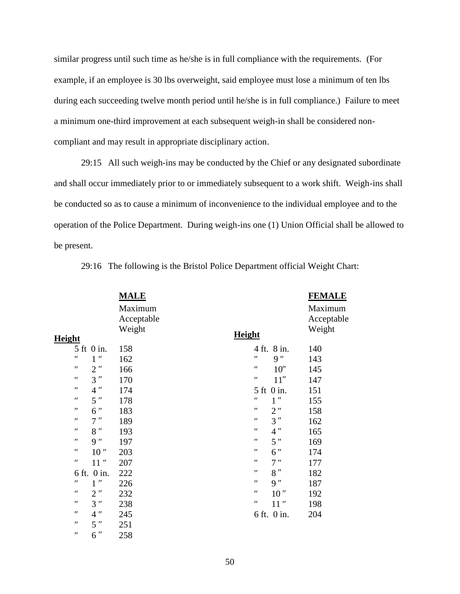similar progress until such time as he/she is in full compliance with the requirements. (For example, if an employee is 30 lbs overweight, said employee must lose a minimum of ten lbs during each succeeding twelve month period until he/she is in full compliance.) Failure to meet a minimum one-third improvement at each subsequent weigh-in shall be considered non compliant and may result in appropriate disciplinary action.

29:15 All such weigh-ins may be conducted by the Chief or any designated subordinate and shall occur immediately prior to or immediately subsequent to a work shift. Weigh-ins shall be conducted so as to cause a minimum of inconvenience to the individual employee and to the operation of the Police Department. During weigh-ins one (1) Union Official shall be allowed to be present.

|                  |    | <b>MALE</b> |               |                  | <b>FEMALE</b> |
|------------------|----|-------------|---------------|------------------|---------------|
|                  |    | Maximum     |               |                  | Maximum       |
|                  |    | Acceptable  |               |                  | Acceptable    |
|                  |    | Weight      |               |                  | Weight        |
| <b>Height</b>    |    |             | <b>Height</b> |                  |               |
| 5 ft 0 in.       |    | 158         |               | 4 ft. 8 in.      | 140           |
| $\mathbf{1}$     |    | 162         |               | 9                | 143           |
| $\mathbf{2}$     |    | 166         |               | 10               | 145           |
| 3                |    | 170         |               | 11               | 147           |
| $\overline{4}$   |    | 174         | 5 ft 0 in.    |                  | 151           |
| 5                |    | 178         |               | 1                | 155           |
| 6                |    | 183         |               | $\mathfrak{2}$   | 158           |
| $\boldsymbol{7}$ |    | 189         |               | $\overline{3}$   | 162           |
| 8                |    | 193         |               | $\overline{4}$   | 165           |
| 9                |    | 197         |               | 5                | 169           |
|                  | 10 | 203         |               | 6                | 174           |
|                  | 11 | 207         |               | $\boldsymbol{7}$ | 177           |
| 6 ft. 0 in.      |    | 222         |               | $8\,$            | 182           |
| $\mathbf{1}$     |    | 226         |               | 9                | 187           |
| $\mathbf{2}$     |    | 232         |               | 10               | 192           |
| 3                |    | 238         |               | 11               | 198           |
| $\overline{4}$   |    | 245         |               | 6 ft. 0 in.      | 204           |
| 5                |    | 251         |               |                  |               |
| 6                |    | 258         |               |                  |               |

29:16 The following is the Bristol Police Department official Weight Chart: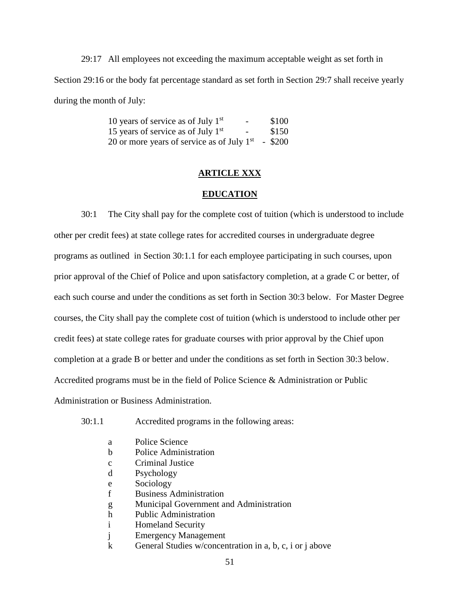29:17 All employees not exceeding the maximum acceptable weight as set forth in Section 29:16 or the body fat percentage standard as set forth in Section 29:7 shall receive yearly during the month of July:

| 10 years of service as of July $1st$                 | $\sim$ | \$100 |
|------------------------------------------------------|--------|-------|
| 15 years of service as of July $1st$                 | $\sim$ | \$150 |
| 20 or more years of service as of July $1st$ - \$200 |        |       |

## **ARTICLE XXX**

### **EDUCATION**

30:1 The City shall pay for the complete cost of tuition (which is understood to include other per credit fees) at state college rates for accredited courses in undergraduate degree programs as outlined in Section 30:1.1 for each employee participating in such courses, upon prior approval of the Chief of Police and upon satisfactory completion, at a grade C or better, of each such course and under the conditions as set forth in Section 30:3 below. For Master Degree courses, the City shall pay the complete cost of tuition (which is understood to include other per credit fees) at state college rates for graduate courses with prior approval by the Chief upon completion at a grade B or better and under the conditions as set forth in Section 30:3 below. Accredited programs must be in the field of Police Science & Administration or Public Administration or Business Administration.

| 30:1.1 |  | Accredited programs in the following areas: |  |
|--------|--|---------------------------------------------|--|
|        |  |                                             |  |

| a           | Police Science                                           |
|-------------|----------------------------------------------------------|
| b           | Police Administration                                    |
| $\mathbf c$ | Criminal Justice                                         |
| d           | Psychology                                               |
| e           | Sociology                                                |
|             | <b>Business Administration</b>                           |
| g           | Municipal Government and Administration                  |
| h           | <b>Public Administration</b>                             |
|             | <b>Homeland Security</b>                                 |
|             | <b>Emergency Management</b>                              |
|             | General Studies w/concentration in a, b, c, i or j above |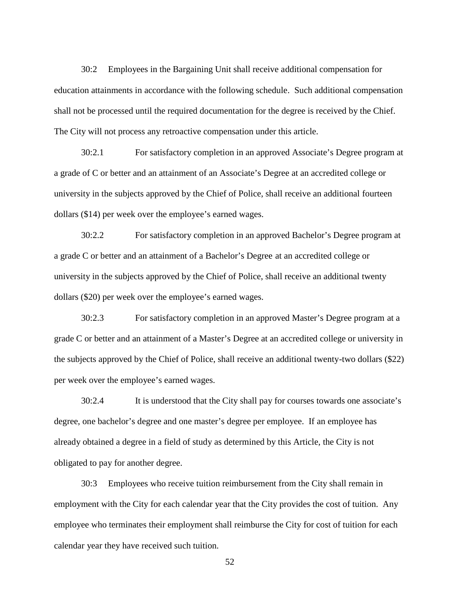30:2 Employees in the Bargaining Unit shall receive additional compensation for education attainments in accordance with the following schedule. Such additional compensation shall not be processed until the required documentation for the degree is received by the Chief. The City will not process any retroactive compensation under this article.

30:2.1 For satisfactory completion in an approved Associate's Degree program at a grade of C or better and an attainment of an Associate's Degree at an accredited college or university in the subjects approved by the Chief of Police, shall receive an additional fourteen dollars (\$14) per week over the employee's earned wages.

30:2.2 For satisfactory completion in an approved Bachelor's Degree program at a grade C or better and an attainment of a Bachelor's Degree at an accredited college or university in the subjects approved by the Chief of Police, shall receive an additional twenty dollars (\$20) per week over the employee's earned wages.

30:2.3 For satisfactory completion in an approved Master's Degree program at a grade C or better and an attainment of a Master's Degree at an accredited college or university in the subjects approved by the Chief of Police, shall receive an additional twenty-two dollars (\$22) per week over the employee's earned wages.

30:2.4 It is understood that the City shall pay for courses towards one associate's degree, one bachelor's degree and one master's degree per employee. If an employee has already obtained a degree in a field of study as determined by this Article, the City is not obligated to pay for another degree.

30:3 Employees who receive tuition reimbursement from the City shall remain in employment with the City for each calendar year that the City provides the cost of tuition. Any employee who terminates their employment shall reimburse the City for cost of tuition for each calendar year they have received such tuition.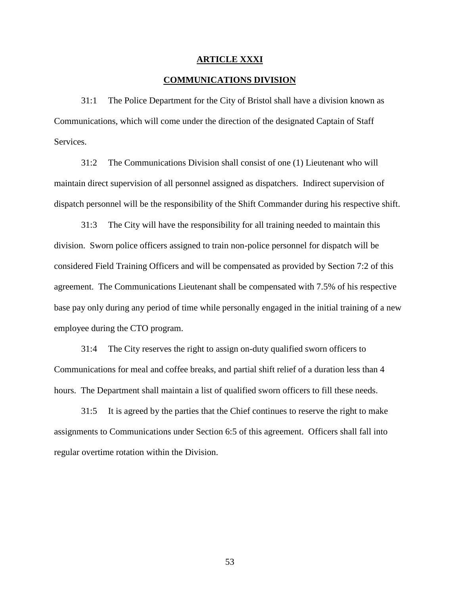#### **ARTICLE XXXI**

## **COMMUNICATIONS DIVISION**

31:1 The Police Department for the City of Bristol shall have a division known as Communications, which will come under the direction of the designated Captain of Staff Services.

31:2 The Communications Division shall consist of one (1) Lieutenant who will maintain direct supervision of all personnel assigned as dispatchers. Indirect supervision of dispatch personnel will be the responsibility of the Shift Commander during his respective shift.

31:3 The City will have the responsibility for all training needed to maintain this division. Sworn police officers assigned to train non-police personnel for dispatch will be considered Field Training Officers and will be compensated as provided by Section 7:2 of this agreement. The Communications Lieutenant shall be compensated with 7.5% of his respective base pay only during any period of time while personally engaged in the initial training of a new employee during the CTO program.

31:4 The City reserves the right to assign on-duty qualified sworn officers to Communications for meal and coffee breaks, and partial shift relief of a duration less than 4 hours. The Department shall maintain a list of qualified sworn officers to fill these needs.

31:5 It is agreed by the parties that the Chief continues to reserve the right to make assignments to Communications under Section 6:5 of this agreement. Officers shall fall into regular overtime rotation within the Division.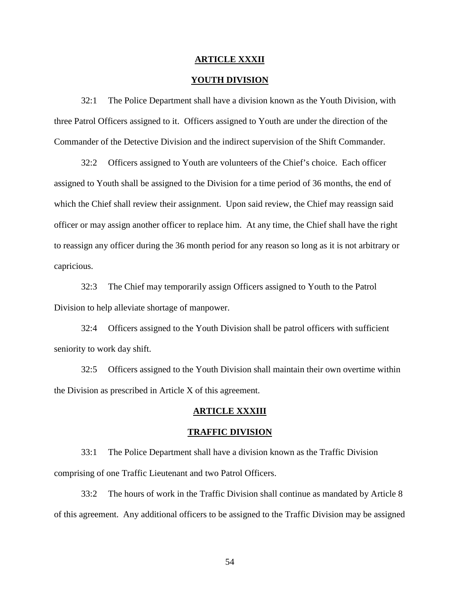#### **ARTICLE XXXII**

### **YOUTH DIVISION**

32:1 The Police Department shall have a division known as the Youth Division, with three Patrol Officers assigned to it. Officers assigned to Youth are under the direction of the Commander of the Detective Division and the indirect supervision of the Shift Commander.

32:2 Officers assigned to Youth are volunteers of the Chief's choice. Each officer assigned to Youth shall be assigned to the Division for a time period of 36 months, the end of which the Chief shall review their assignment. Upon said review, the Chief may reassign said officer or may assign another officer to replace him. At any time, the Chief shall have the right to reassign any officer during the 36 month period for any reason so long as it is not arbitrary or capricious.

32:3 The Chief may temporarily assign Officers assigned to Youth to the Patrol Division to help alleviate shortage of manpower.

32:4 Officers assigned to the Youth Division shall be patrol officers with sufficient seniority to work day shift.

32:5 Officers assigned to the Youth Division shall maintain their own overtime within the Division as prescribed in Article X of this agreement.

## **ARTICLE XXXIII**

#### **TRAFFIC DIVISION**

33:1 The Police Department shall have a division known as the Traffic Division comprising of one Traffic Lieutenant and two Patrol Officers.

33:2 The hours of work in the Traffic Division shall continue as mandated by Article 8 of this agreement. Any additional officers to be assigned to the Traffic Division may be assigned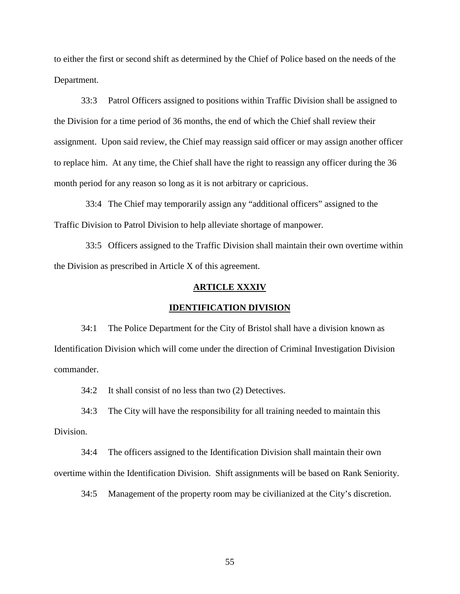to either the first or second shift as determined by the Chief of Police based on the needs of the Department.

33:3 Patrol Officers assigned to positions within Traffic Division shall be assigned to the Division for a time period of 36 months, the end of which the Chief shall review their assignment. Upon said review, the Chief may reassign said officer or may assign another officer to replace him. At any time, the Chief shall have the right to reassign any officer during the 36 month period for any reason so long as it is not arbitrary or capricious.

33:4 The Chief may temporarily assign any "additional officers" assigned to the Traffic Division to Patrol Division to help alleviate shortage of manpower.

33:5 Officers assigned to the Traffic Division shall maintain their own overtime within the Division as prescribed in Article X of this agreement.

#### **ARTICLE XXXIV**

#### **IDENTIFICATION DIVISION**

34:1 The Police Department for the City of Bristol shall have a division known as Identification Division which will come under the direction of Criminal Investigation Division commander.

34:2 It shall consist of no less than two (2) Detectives.

34:3 The City will have the responsibility for all training needed to maintain this Division.

34:4 The officers assigned to the Identification Division shall maintain their own overtime within the Identification Division. Shift assignments will be based on Rank Seniority.

34:5 Management of the property room may be civilianized at the City's discretion.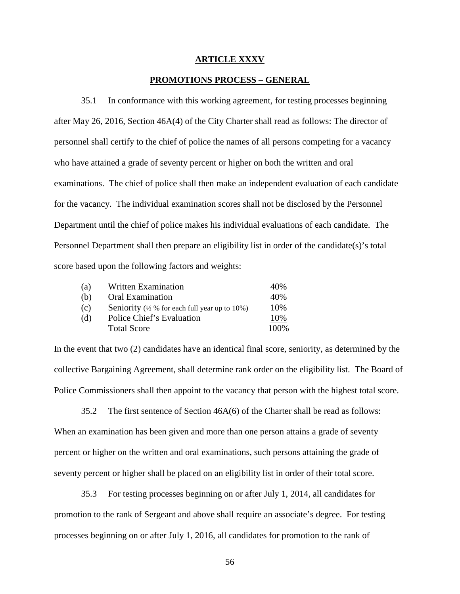#### **ARTICLE XXXV**

### **PROMOTIONS PROCESS – GENERAL**

35.1 In conformance with this working agreement, for testing processes beginning after May 26, 2016, Section 46A(4) of the City Charter shall read as follows: The director of personnel shall certify to the chief of police the names of all persons competing for a vacancy who have attained a grade of seventy percent or higher on both the written and oral examinations. The chief of police shall then make an independent evaluation of each candidate for the vacancy. The individual examination scores shall not be disclosed by the Personnel Department until the chief of police makes his individual evaluations of each candidate. The Personnel Department shall then prepare an eligibility list in order of the candidate(s)'s total score based upon the following factors and weights:

| (a) | Written Examination                                      | 40%   |
|-----|----------------------------------------------------------|-------|
| (b) | <b>Oral Examination</b>                                  | 40%   |
| (c) | Seniority $(\frac{1}{2}$ % for each full year up to 10%) | 10%   |
| (d) | Police Chief's Evaluation                                | 10%   |
|     | <b>Total Score</b>                                       | 100\% |

In the event that two (2) candidates have an identical final score, seniority, as determined by the collective Bargaining Agreement, shall determine rank order on the eligibility list. The Board of Police Commissioners shall then appoint to the vacancy that person with the highest total score.

35.2 The first sentence of Section 46A(6) of the Charter shall be read as follows: When an examination has been given and more than one person attains a grade of seventy percent or higher on the written and oral examinations, such persons attaining the grade of seventy percent or higher shall be placed on an eligibility list in order of their total score.

35.3 For testing processes beginning on or after July 1, 2014, all candidates for promotion to the rank of Sergeant and above shall require an associate's degree. For testing processes beginning on or after July 1, 2016, all candidates for promotion to the rank of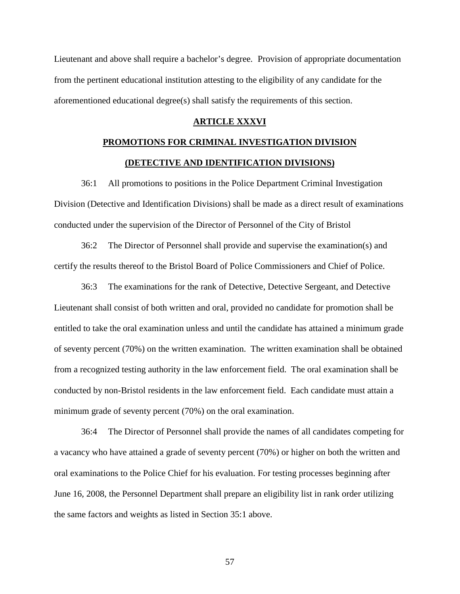Lieutenant and above shall require a bachelor's degree. Provision of appropriate documentation from the pertinent educational institution attesting to the eligibility of any candidate for the aforementioned educational degree(s) shall satisfy the requirements of this section.

#### **ARTICLE XXXVI**

## **PROMOTIONS FOR CRIMINAL INVESTIGATION DIVISION (DETECTIVE AND IDENTIFICATION DIVISIONS)**

36:1 All promotions to positions in the Police Department Criminal Investigation Division (Detective and Identification Divisions) shall be made as a direct result of examinations conducted under the supervision of the Director of Personnel of the City of Bristol

36:2 The Director of Personnel shall provide and supervise the examination(s) and certify the results thereof to the Bristol Board of Police Commissioners and Chief of Police.

36:3 The examinations for the rank of Detective, Detective Sergeant, and Detective Lieutenant shall consist of both written and oral, provided no candidate for promotion shall be entitled to take the oral examination unless and until the candidate has attained a minimum grade of seventy percent (70%) on the written examination. The written examination shall be obtained from a recognized testing authority in the law enforcement field. The oral examination shall be conducted by non-Bristol residents in the law enforcement field. Each candidate must attain a minimum grade of seventy percent (70%) on the oral examination.

36:4 The Director of Personnel shall provide the names of all candidates competing for a vacancy who have attained a grade of seventy percent (70%) or higher on both the written and oral examinations to the Police Chief for his evaluation. For testing processes beginning after June 16, 2008, the Personnel Department shall prepare an eligibility list in rank order utilizing the same factors and weights as listed in Section 35:1 above.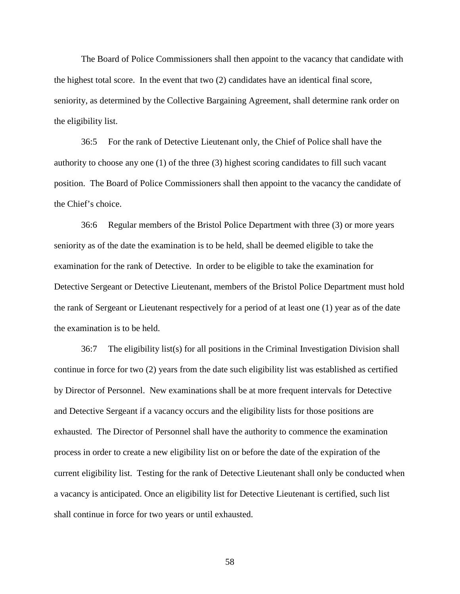The Board of Police Commissioners shall then appoint to the vacancy that candidate with the highest total score. In the event that two (2) candidates have an identical final score, seniority, as determined by the Collective Bargaining Agreement, shall determine rank order on the eligibility list.

36:5 For the rank of Detective Lieutenant only, the Chief of Police shall have the authority to choose any one (1) of the three (3) highest scoring candidates to fill such vacant position. The Board of Police Commissioners shall then appoint to the vacancy the candidate of the Chief's choice.

36:6 Regular members of the Bristol Police Department with three (3) or more years seniority as of the date the examination is to be held, shall be deemed eligible to take the examination for the rank of Detective. In order to be eligible to take the examination for Detective Sergeant or Detective Lieutenant, members of the Bristol Police Department must hold the rank of Sergeant or Lieutenant respectively for a period of at least one (1) year as of the date the examination is to be held.

36:7 The eligibility list(s) for all positions in the Criminal Investigation Division shall continue in force for two (2) years from the date such eligibility list was established as certified by Director of Personnel. New examinations shall be at more frequent intervals for Detective and Detective Sergeant if a vacancy occurs and the eligibility lists for those positions are exhausted. The Director of Personnel shall have the authority to commence the examination process in order to create a new eligibility list on or before the date of the expiration of the current eligibility list. Testing for the rank of Detective Lieutenant shall only be conducted when a vacancy is anticipated. Once an eligibility list for Detective Lieutenant is certified, such list shall continue in force for two years or until exhausted.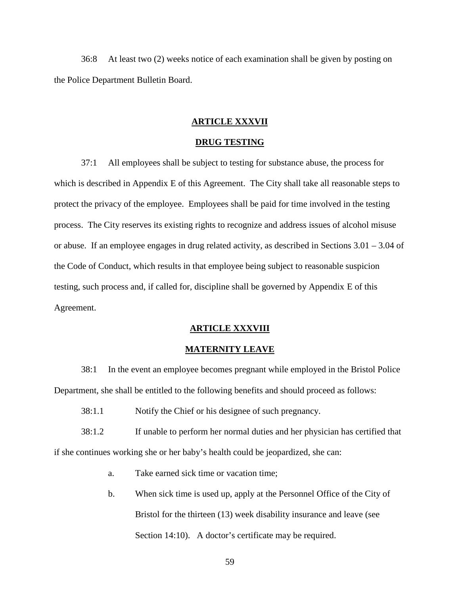36:8 At least two (2) weeks notice of each examination shall be given by posting on the Police Department Bulletin Board.

#### **ARTICLE XXXVII**

## **DRUG TESTING**

37:1 All employees shall be subject to testing for substance abuse, the process for which is described in Appendix E of this Agreement. The City shall take all reasonable steps to protect the privacy of the employee. Employees shall be paid for time involved in the testing process. The City reserves its existing rights to recognize and address issues of alcohol misuse or abuse. If an employee engages in drug related activity, as described in Sections 3.01 – 3.04 of the Code of Conduct, which results in that employee being subject to reasonable suspicion testing, such process and, if called for, discipline shall be governed by Appendix E of this Agreement.

#### **ARTICLE XXXVIII**

#### **MATERNITY LEAVE**

38:1 In the event an employee becomes pregnant while employed in the Bristol Police Department, she shall be entitled to the following benefits and should proceed as follows:

38:1.1 Notify the Chief or his designee of such pregnancy.

38:1.2 If unable to perform her normal duties and her physician has certified that if she continues working she or her baby's health could be jeopardized, she can:

- a. Take earned sick time or vacation time;
- b. When sick time is used up, apply at the Personnel Office of the City of Bristol for the thirteen (13) week disability insurance and leave (see Section 14:10). A doctor's certificate may be required.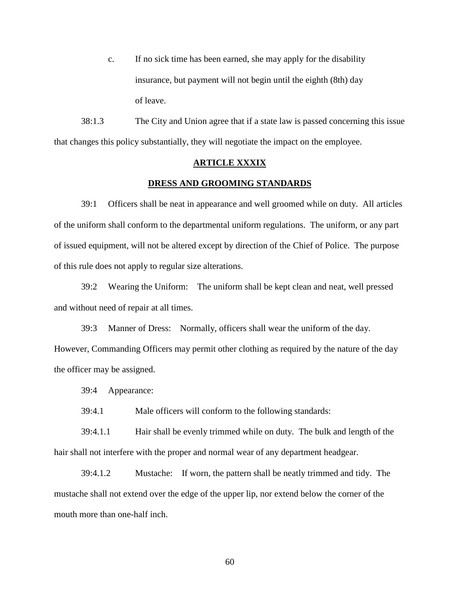c. If no sick time has been earned, she may apply for the disability insurance, but payment will not begin until the eighth (8th) day of leave.

38:1.3 The City and Union agree that if a state law is passed concerning this issue that changes this policy substantially, they will negotiate the impact on the employee.

#### **ARTICLE XXXIX**

### **DRESS AND GROOMING STANDARDS**

39:1 Officers shall be neat in appearance and well groomed while on duty. All articles of the uniform shall conform to the departmental uniform regulations. The uniform, or any part of issued equipment, will not be altered except by direction of the Chief of Police. The purpose of this rule does not apply to regular size alterations.

39:2 Wearing the Uniform: The uniform shall be kept clean and neat, well pressed and without need of repair at all times.

39:3 Manner of Dress: Normally, officers shall wear the uniform of the day. However, Commanding Officers may permit other clothing as required by the nature of the day the officer may be assigned.

39:4 Appearance:

39:4.1 Male officers will conform to the following standards:

39:4.1.1 Hair shall be evenly trimmed while on duty. The bulk and length of the hair shall not interfere with the proper and normal wear of any department headgear.

39:4.1.2 Mustache: If worn, the pattern shall be neatly trimmed and tidy. The mustache shall not extend over the edge of the upper lip, nor extend below the corner of the mouth more than one-half inch.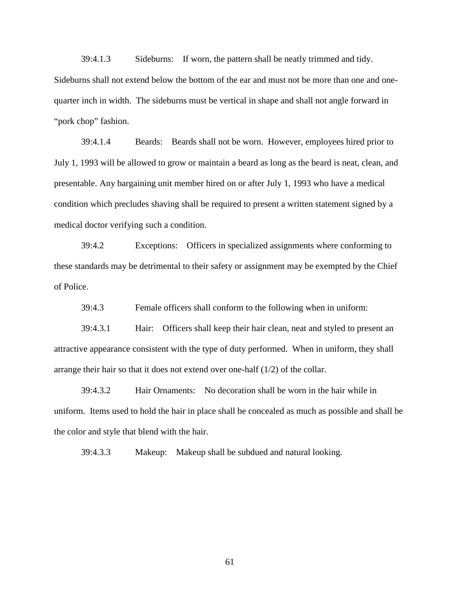39:4.1.3 Sideburns: If worn, the pattern shall be neatly trimmed and tidy. Sideburns shall not extend below the bottom of the ear and must not be more than one and one quarter inch in width. The sideburns must be vertical in shape and shall not angle forward in "pork chop" fashion.

39:4.1.4 Beards: Beards shall not be worn. However, employees hired prior to July 1, 1993 will be allowed to grow or maintain a beard as long as the beard is neat, clean, and presentable. Any bargaining unit member hired on or after July 1, 1993 who have a medical condition which precludes shaving shall be required to present a written statement signed by a medical doctor verifying such a condition.

39:4.2 Exceptions: Officers in specialized assignments where conforming to these standards may be detrimental to their safety or assignment may be exempted by the Chief of Police.

39:4.3 Female officers shall conform to the following when in uniform:

39:4.3.1 Hair: Officers shall keep their hair clean, neat and styled to present an attractive appearance consistent with the type of duty performed. When in uniform, they shall arrange their hair so that it does not extend over one-half (1/2) of the collar.

39:4.3.2 Hair Ornaments: No decoration shall be worn in the hair while in uniform. Items used to hold the hair in place shall be concealed as much as possible and shall be the color and style that blend with the hair.

39:4.3.3 Makeup: Makeup shall be subdued and natural looking.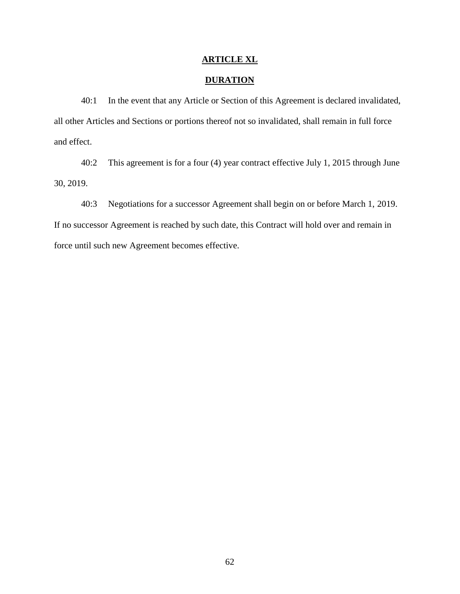## **ARTICLE XL**

## **DURATION**

40:1 In the event that any Article or Section of this Agreement is declared invalidated, all other Articles and Sections or portions thereof not so invalidated, shall remain in full force and effect.

40:2 This agreement is for a four (4) year contract effective July 1, 2015 through June 30, 2019.

40:3 Negotiations for a successor Agreement shall begin on or before March 1, 2019. If no successor Agreement is reached by such date, this Contract will hold over and remain in force until such new Agreement becomes effective.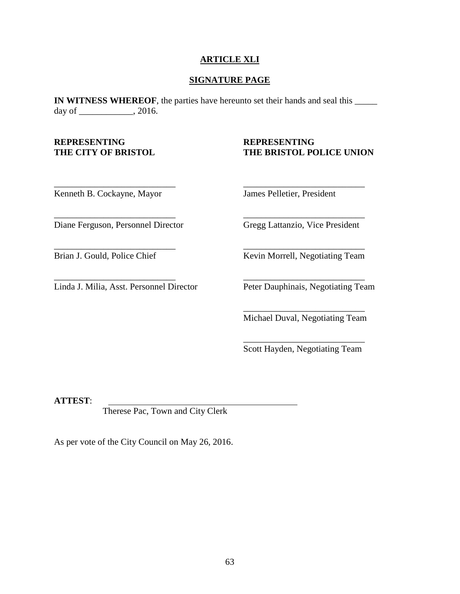## **ARTICLE XLI**

## **SIGNATURE PAGE**

\_\_\_\_\_\_\_\_\_\_\_\_\_\_\_\_\_\_\_\_\_\_\_\_\_\_\_ \_\_\_\_\_\_\_\_\_\_\_\_\_\_\_\_\_\_\_\_\_\_\_\_\_\_\_

\_\_\_\_\_\_\_\_\_\_\_\_\_\_\_\_\_\_\_\_\_\_\_\_\_\_\_ \_\_\_\_\_\_\_\_\_\_\_\_\_\_\_\_\_\_\_\_\_\_\_\_\_\_\_

\_\_\_\_\_\_\_\_\_\_\_\_\_\_\_\_\_\_\_\_\_\_\_\_\_\_\_ \_\_\_\_\_\_\_\_\_\_\_\_\_\_\_\_\_\_\_\_\_\_\_\_\_\_\_

**IN WITNESS WHEREOF**, the parties have hereunto set their hands and seal this \_\_\_\_\_\_ day of \_\_\_\_\_\_\_\_\_\_\_\_, 2016.

# **REPRESENTING REPRESENTING**

## **THE CITY OF BRISTOL THE BRISTOL POLICE UNION**

Kenneth B. Cockayne, Mayor James Pelletier, President

Diane Ferguson, Personnel Director Gregg Lattanzio, Vice President

Linda J. Milia, Asst. Personnel Director Peter Dauphinais, Negotiating Team

\_\_\_\_\_\_\_\_\_\_\_\_\_\_\_\_\_\_\_\_\_\_\_\_\_\_\_ \_\_\_\_\_\_\_\_\_\_\_\_\_\_\_\_\_\_\_\_\_\_\_\_\_\_\_

Brian J. Gould, Police Chief Kevin Morrell, Negotiating Team

\_\_\_\_\_\_\_\_\_\_\_\_\_\_\_\_\_\_\_\_\_\_\_\_\_\_\_

\_\_\_\_\_\_\_\_\_\_\_\_\_\_\_\_\_\_\_\_\_\_\_\_\_\_\_

Michael Duval, Negotiating Team

Scott Hayden, Negotiating Team

**ATTEST**:

Therese Pac, Town and City Clerk

As per vote of the City Council on May 26, 2016.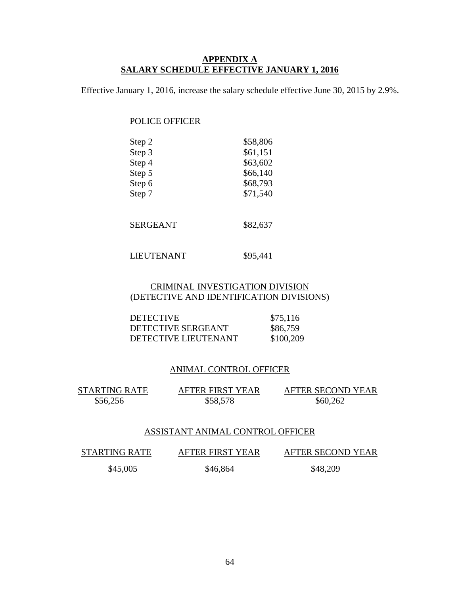## **APPENDIX A SALARY SCHEDULE EFFECTIVE JANUARY 1, 2016**

Effective January 1, 2016, increase the salary schedule effective June 30, 2015 by 2.9%.

## POLICE OFFICER

| Step 2 | \$58,806 |
|--------|----------|
| Step 3 | \$61,151 |
| Step 4 | \$63,602 |
| Step 5 | \$66,140 |
| Step 6 | \$68,793 |
| Step 7 | \$71,540 |

SERGEANT \$82,637

## LIEUTENANT \$95,441

## CRIMINAL INVESTIGATION DIVISION (DETECTIVE AND IDENTIFICATION DIVISIONS)

| <b>DETECTIVE</b>     | \$75,116  |
|----------------------|-----------|
| DETECTIVE SERGEANT   | \$86,759  |
| DETECTIVE LIEUTENANT | \$100,209 |

## ANIMAL CONTROL OFFICER

STARTING RATE AFTER FIRST YEAR AFTER SECOND YEAR \$56,256 \$58,578 \$60,262

## ASSISTANT ANIMAL CONTROL OFFICER

STARTING RATE AFTER FIRST YEAR AFTER SECOND YEAR \$45,005 \$46,864 \$48,209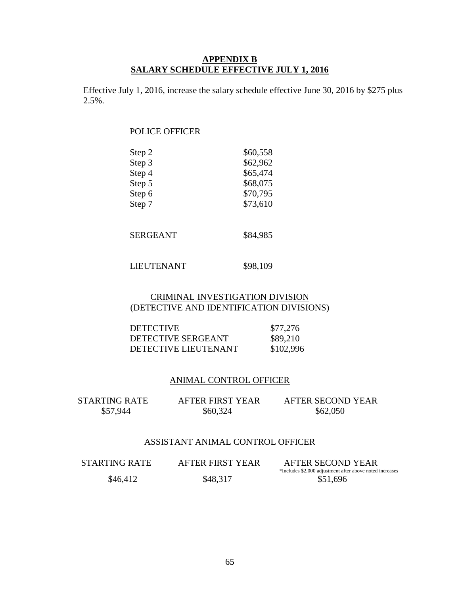## **APPENDIX B SALARY SCHEDULE EFFECTIVE JULY 1, 2016**

Effective July 1, 2016, increase the salary schedule effective June 30, 2016 by \$275 plus 2.5%.

## POLICE OFFICER

| \$60,558 |
|----------|
| \$62,962 |
| \$65,474 |
| \$68,075 |
| \$70,795 |
| \$73,610 |
|          |

| SERGEANT | \$84,985 |  |
|----------|----------|--|
|----------|----------|--|

## LIEUTENANT \$98,109

## CRIMINAL INVESTIGATION DIVISION (DETECTIVE AND IDENTIFICATION DIVISIONS)

| <b>DETECTIVE</b>     | \$77,276  |
|----------------------|-----------|
| DETECTIVE SERGEANT   | \$89,210  |
| DETECTIVE LIEUTENANT | \$102,996 |

## ANIMAL CONTROL OFFICER

STARTING RATE AFTER FIRST YEAR AFTER SECOND YEAR

\$57,944 \$60,324 \$62,050

## ASSISTANT ANIMAL CONTROL OFFICER

| <b>STARTING RATE</b> | AFTER FIRST YEAR | AFTER SECOND YEAR                                        |
|----------------------|------------------|----------------------------------------------------------|
|                      |                  | *Includes \$2,000 adjustment after above noted increases |
| \$46,412             | \$48,317         | \$51,696                                                 |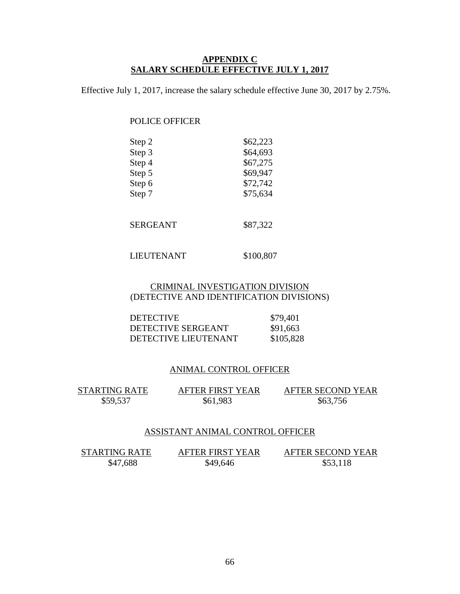## **APPENDIX C SALARY SCHEDULE EFFECTIVE JULY 1, 2017**

Effective July 1, 2017, increase the salary schedule effective June 30, 2017 by 2.75%.

## POLICE OFFICER

| Step 2 | \$62,223 |
|--------|----------|
| Step 3 | \$64,693 |
| Step 4 | \$67,275 |
| Step 5 | \$69,947 |
| Step 6 | \$72,742 |
| Step 7 | \$75,634 |

SERGEANT \$87,322

## LIEUTENANT \$100,807

## CRIMINAL INVESTIGATION DIVISION (DETECTIVE AND IDENTIFICATION DIVISIONS)

| <b>DETECTIVE</b>     | \$79,401  |
|----------------------|-----------|
| DETECTIVE SERGEANT   | \$91,663  |
| DETECTIVE LIEUTENANT | \$105,828 |

## ANIMAL CONTROL OFFICER

STARTING RATE AFTER FIRST YEAR AFTER SECOND YEAR \$59,537 \$61,983 \$63,756

## ASSISTANT ANIMAL CONTROL OFFICER

STARTING RATE AFTER FIRST YEAR AFTER SECOND YEAR<br>\$47,688 \$49,646 \$53,118 \$47,688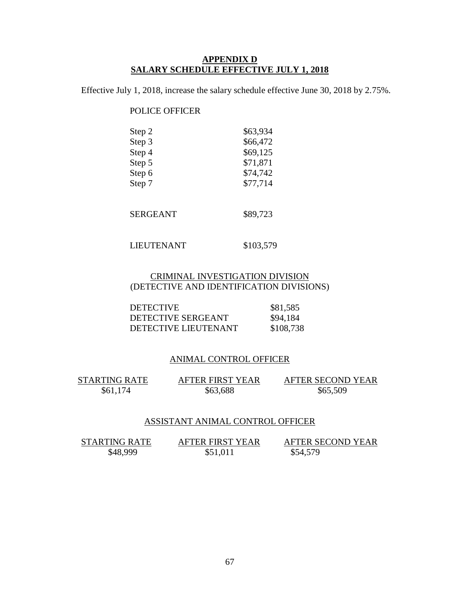## **APPENDIX D SALARY SCHEDULE EFFECTIVE JULY 1, 2018**

Effective July 1, 2018, increase the salary schedule effective June 30, 2018 by 2.75%.

## POLICE OFFICER

| Step 2 | \$63,934 |
|--------|----------|
| Step 3 | \$66,472 |
| Step 4 | \$69,125 |
| Step 5 | \$71,871 |
| Step 6 | \$74,742 |
| Step 7 | \$77,714 |
|        |          |
|        |          |

SERGEANT \$89,723

LIEUTENANT \$103,579

## CRIMINAL INVESTIGATION DIVISION (DETECTIVE AND IDENTIFICATION DIVISIONS)

| <b>DETECTIVE</b>     | \$81,585  |
|----------------------|-----------|
| DETECTIVE SERGEANT   | \$94,184  |
| DETECTIVE LIEUTENANT | \$108,738 |

## ANIMAL CONTROL OFFICER

STARTING RATE AFTER FIRST YEAR AFTER SECOND YEAR \$61,174 \$63,688 \$65,509

## ASSISTANT ANIMAL CONTROL OFFICER

| <b>STARTING RATE</b> | <b>AFTER FIRST YEAR</b> | AFTER SECOND YEAR |  |
|----------------------|-------------------------|-------------------|--|
| \$48,999             | \$51,011                | \$54,579          |  |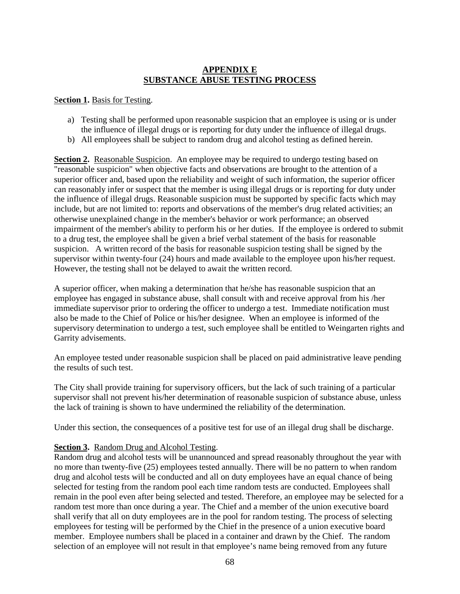## **APPENDIX E SUBSTANCE ABUSE TESTING PROCESS**

## S**ection 1.** Basis for Testing.

- a) Testing shall be performed upon reasonable suspicion that an employee is using or is under the influence of illegal drugs or is reporting for duty under the influence of illegal drugs.
- b) All employees shall be subject to random drug and alcohol testing as defined herein.

**Section 2.** Reasonable Suspicion. An employee may be required to undergo testing based on "reasonable suspicion" when objective facts and observations are brought to the attention of a superior officer and, based upon the reliability and weight of such information, the superior officer can reasonably infer or suspect that the member is using illegal drugs or is reporting for duty under the influence of illegal drugs. Reasonable suspicion must be supported by specific facts which may include, but are not limited to: reports and observations of the member's drug related activities; an otherwise unexplained change in the member's behavior or work performance; an observed impairment of the member's ability to perform his or her duties. If the employee is ordered to submit to a drug test, the employee shall be given a brief verbal statement of the basis for reasonable suspicion. A written record of the basis for reasonable suspicion testing shall be signed by the supervisor within twenty-four (24) hours and made available to the employee upon his/her request. However, the testing shall not be delayed to await the written record.

A superior officer, when making a determination that he/she has reasonable suspicion that an employee has engaged in substance abuse, shall consult with and receive approval from his /her immediate supervisor prior to ordering the officer to undergo a test. Immediate notification must also be made to the Chief of Police or his/her designee. When an employee is informed of the supervisory determination to undergo a test, such employee shall be entitled to Weingarten rights and Garrity advisements.

An employee tested under reasonable suspicion shall be placed on paid administrative leave pending the results of such test.

The City shall provide training for supervisory officers, but the lack of such training of a particular supervisor shall not prevent his/her determination of reasonable suspicion of substance abuse, unless the lack of training is shown to have undermined the reliability of the determination.

Under this section, the consequences of a positive test for use of an illegal drug shall be discharge.

## **Section 3.** Random Drug and Alcohol Testing.

Random drug and alcohol tests will be unannounced and spread reasonably throughout the year with no more than twenty-five (25) employees tested annually. There will be no pattern to when random drug and alcohol tests will be conducted and all on duty employees have an equal chance of being selected for testing from the random pool each time random tests are conducted. Employees shall remain in the pool even after being selected and tested. Therefore, an employee may be selected for a random test more than once during a year. The Chief and a member of the union executive board shall verify that all on duty employees are in the pool for random testing. The process of selecting employees for testing will be performed by the Chief in the presence of a union executive board member. Employee numbers shall be placed in a container and drawn by the Chief. The random selection of an employee will not result in that employee's name being removed from any future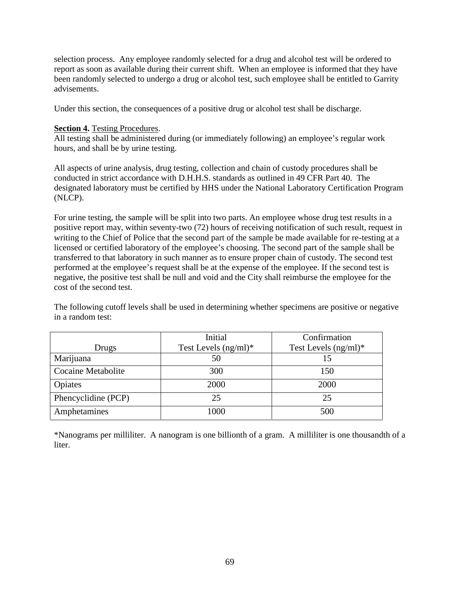selection process. Any employee randomly selected for a drug and alcohol test will be ordered to report as soon as available during their current shift. When an employee is informed that they have been randomly selected to undergo a drug or alcohol test, such employee shall be entitled to Garrity advisements.

Under this section, the consequences of a positive drug or alcohol test shall be discharge.

## **Section 4.** Testing Procedures.

All testing shall be administered during (or immediately following) an employee's regular work hours, and shall be by urine testing.

All aspects of urine analysis, drug testing, collection and chain of custody procedures shall be conducted in strict accordance with D.H.H.S. standards as outlined in 49 CFR Part 40. The designated laboratory must be certified by HHS under the National Laboratory Certification Program (NLCP).

For urine testing, the sample will be split into two parts. An employee whose drug test results in a positive report may, within seventy-two (72) hours of receiving notification of such result, request in writing to the Chief of Police that the second part of the sample be made available for re-testing at a licensed or certified laboratory of the employee's choosing. The second part of the sample shall be transferred to that laboratory in such manner as to ensure proper chain of custody. The second test performed at the employee's request shall be at the expense of the employee. If the second test is negative, the positive test shall be null and void and the City shall reimburse the employee for the cost of the second test.

The following cutoff levels shall be used in determining whether specimens are positive or negative in a random test:

|                           | Initial                 | Confirmation            |
|---------------------------|-------------------------|-------------------------|
| Drugs                     | Test Levels $(ng/ml)^*$ | Test Levels $(ng/ml)^*$ |
| Marijuana                 | 50                      |                         |
| <b>Cocaine Metabolite</b> | 300                     | 150                     |
| Opiates                   | 2000                    | 2000                    |
| Phencyclidine (PCP)       | 25                      | 25                      |
| Amphetamines              | 1000                    | 500                     |

\*Nanograms per milliliter. A nanogram is one billionth of a gram. A milliliter is one thousandth of a liter.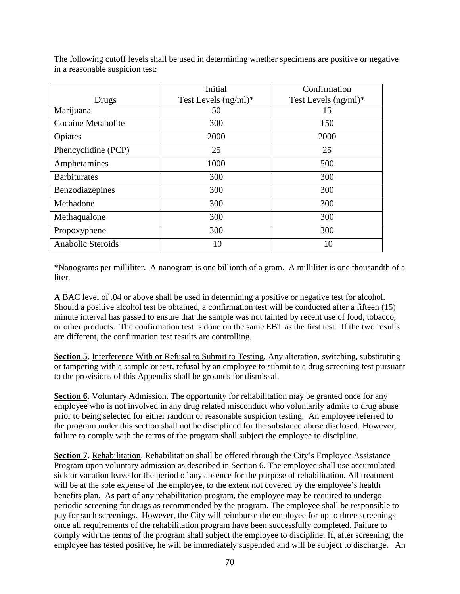|                     | Initial              | Confirmation            |
|---------------------|----------------------|-------------------------|
| Drugs               | Test Levels (ng/ml)* | Test Levels $(ng/ml)^*$ |
| Marijuana           | 50                   | 15                      |
| Cocaine Metabolite  | 300                  | 150                     |
| Opiates             | 2000                 | 2000                    |
| Phencyclidine (PCP) | 25                   | 25                      |
| Amphetamines        | 1000                 | 500                     |
| <b>Barbiturates</b> | 300                  | 300                     |
| Benzodiazepines     | 300                  | 300                     |
| Methadone           | 300                  | 300                     |
| Methaqualone        | 300                  | 300                     |
| Propoxyphene        | 300                  | 300                     |
| Anabolic Steroids   | 10                   | 10                      |

The following cutoff levels shall be used in determining whether specimens are positive or negative in a reasonable suspicion test:

\*Nanograms per milliliter. A nanogram is one billionth of a gram. A milliliter is one thousandth of a liter.

A BAC level of .04 or above shall be used in determining a positive or negative test for alcohol. Should a positive alcohol test be obtained, a confirmation test will be conducted after a fifteen (15) minute interval has passed to ensure that the sample was not tainted by recent use of food, tobacco, or other products. The confirmation test is done on the same EBT as the first test. If the two results are different, the confirmation test results are controlling.

**Section 5.** Interference With or Refusal to Submit to Testing. Any alteration, switching, substituting or tampering with a sample or test, refusal by an employee to submit to a drug screening test pursuant to the provisions of this Appendix shall be grounds for dismissal.

**Section 6.** Voluntary Admission. The opportunity for rehabilitation may be granted once for any employee who is not involved in any drug related misconduct who voluntarily admits to drug abuse prior to being selected for either random or reasonable suspicion testing. An employee referred to the program under this section shall not be disciplined for the substance abuse disclosed. However, failure to comply with the terms of the program shall subject the employee to discipline.

**Section 7.** Rehabilitation. Rehabilitation shall be offered through the City's Employee Assistance Program upon voluntary admission as described in Section 6. The employee shall use accumulated sick or vacation leave for the period of any absence for the purpose of rehabilitation. All treatment will be at the sole expense of the employee, to the extent not covered by the employee's health benefits plan. As part of any rehabilitation program, the employee may be required to undergo periodic screening for drugs as recommended by the program. The employee shall be responsible to pay for such screenings. However, the City will reimburse the employee for up to three screenings once all requirements of the rehabilitation program have been successfully completed. Failure to comply with the terms of the program shall subject the employee to discipline. If, after screening, the employee has tested positive, he will be immediately suspended and will be subject to discharge. An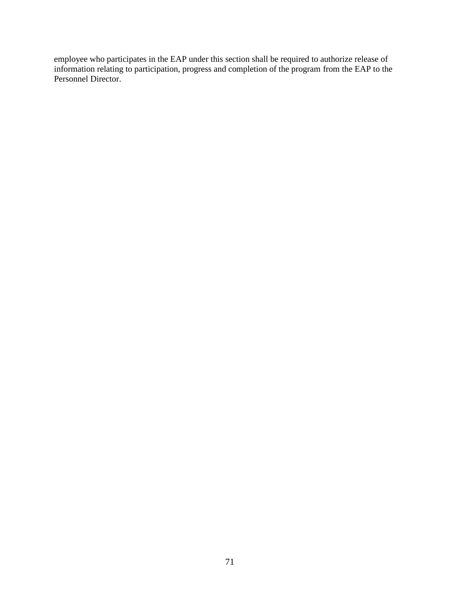employee who participates in the EAP under this section shall be required to authorize release of information relating to participation, progress and completion of the program from the EAP to the Personnel Director.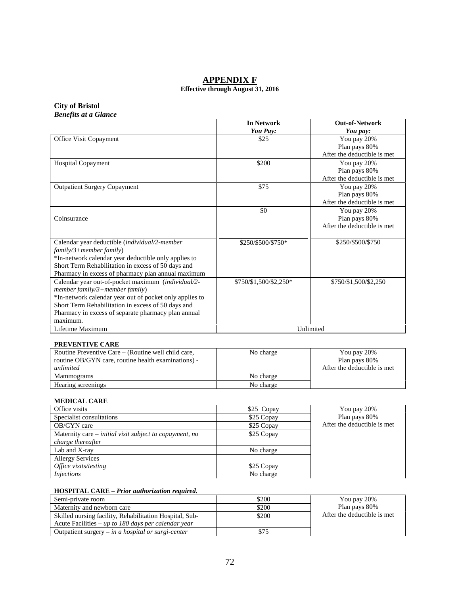# **APPENDIX F**

#### **Effective through August 31, 2016**

#### **City of Bristol** *Benefits at a Glance*

|                                                                                                                                                                                                                                                                          | <b>In Network</b><br>You Pay: | <b>Out-of-Network</b><br>You pay:                           |
|--------------------------------------------------------------------------------------------------------------------------------------------------------------------------------------------------------------------------------------------------------------------------|-------------------------------|-------------------------------------------------------------|
| Office Visit Copayment                                                                                                                                                                                                                                                   | \$25                          | You pay 20%<br>Plan pays 80%<br>After the deductible is met |
| <b>Hospital Copayment</b>                                                                                                                                                                                                                                                | \$200                         | You pay 20%<br>Plan pays 80%<br>After the deductible is met |
| <b>Outpatient Surgery Copayment</b>                                                                                                                                                                                                                                      | \$75                          | You pay 20%<br>Plan pays 80%<br>After the deductible is met |
| Coinsurance                                                                                                                                                                                                                                                              | \$0                           | You pay 20%<br>Plan pays 80%<br>After the deductible is met |
| Calendar year deductible (individual/2-member<br>$family/3 + member family)$<br>*In-network calendar year deductible only applies to<br>Short Term Rehabilitation in excess of 50 days and<br>Pharmacy in excess of pharmacy plan annual maximum                         | \$250/\$500/\$750*            | \$250/\$500/\$750                                           |
| Calendar year out-of-pocket maximum (individual/2-<br>member family/3+member family)<br>*In-network calendar year out of pocket only applies to<br>Short Term Rehabilitation in excess of 50 days and<br>Pharmacy in excess of separate pharmacy plan annual<br>maximum. | \$750/\$1,500/\$2,250*        | \$750/\$1,500/\$2,250                                       |
| Lifetime Maximum                                                                                                                                                                                                                                                         |                               | Unlimited                                                   |

#### **PREVENTIVE CARE**

| Routine Preventive Care – (Routine well child care, | No charge | You pay 20%                  |
|-----------------------------------------------------|-----------|------------------------------|
| routine OB/GYN care, routine health examinations) - |           | Plan pays 80%                |
| unlimited                                           |           | After the deductible is met. |
| Mammograms                                          | No charge |                              |
| Hearing screenings                                  | No charge |                              |

## **MEDICAL CARE**

| Office visits                                           | \$25 Copay | You pay 20%                 |
|---------------------------------------------------------|------------|-----------------------------|
| Specialist consultations                                | \$25 Copay | Plan pays 80%               |
| OB/GYN care                                             | \$25 Copay | After the deductible is met |
| Maternity care – initial visit subject to copayment, no | \$25 Copay |                             |
| charge thereafter                                       |            |                             |
| Lab and X-ray                                           | No charge  |                             |
| <b>Allergy Services</b>                                 |            |                             |
| Office visits/testing                                   | \$25 Copay |                             |
| <i>Injections</i>                                       | No charge  |                             |

## **HOSPITAL CARE –** *Prior authorization required.*

| Semi-private room                                       | \$200 | You pay 20%                  |
|---------------------------------------------------------|-------|------------------------------|
| Maternity and newborn care                              | \$200 | Plan pays 80%                |
| Skilled nursing facility, Rehabilitation Hospital, Sub- | \$200 | After the deductible is met. |
| Acute Facilities – up to 180 days per calendar year     |       |                              |
| Outpatient surgery $-$ in a hospital or surgi-center    |       |                              |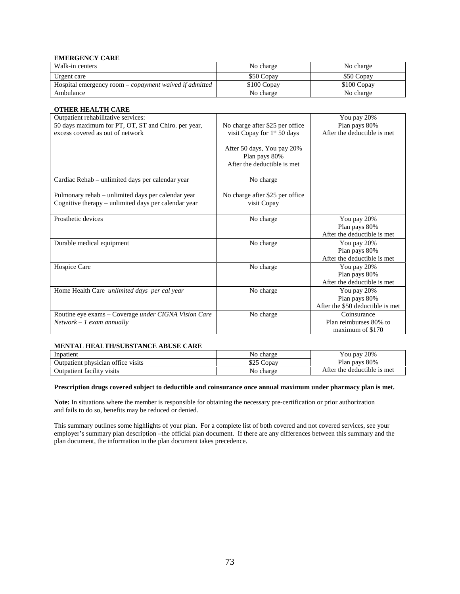#### **EMERGENCY CARE**

| Walk-in centers                                        | No charge   | No charge   |
|--------------------------------------------------------|-------------|-------------|
| Urgent care                                            | \$50 Copay  | \$50 Copay  |
| Hospital emergency room – copayment waived if admitted | \$100 Copay | \$100 Copay |
| Ambulance                                              | No charge   | No charge   |

| <b>OTHER HEALTH CARE</b>                                    |                                                                            |                                  |
|-------------------------------------------------------------|----------------------------------------------------------------------------|----------------------------------|
| Outpatient rehabilitative services:                         |                                                                            | You pay 20%                      |
| 50 days maximum for PT, OT, ST and Chiro. per year,         | No charge after \$25 per office                                            | Plan pays 80%                    |
| excess covered as out of network                            | visit Copay for 1 <sup>st</sup> 50 days                                    | After the deductible is met      |
|                                                             | After 50 days, You pay 20%<br>Plan pays 80%<br>After the deductible is met |                                  |
| Cardiac Rehab – unlimited days per calendar year            | No charge                                                                  |                                  |
| Pulmonary rehab – unlimited days per calendar year          | No charge after \$25 per office                                            |                                  |
| Cognitive therapy – unlimited days per calendar year        | visit Copay                                                                |                                  |
| Prosthetic devices                                          | No charge                                                                  | You pay 20%                      |
|                                                             |                                                                            | Plan pays 80%                    |
|                                                             |                                                                            | After the deductible is met.     |
| Durable medical equipment                                   | No charge                                                                  | You pay 20%                      |
|                                                             |                                                                            | Plan pays 80%                    |
|                                                             |                                                                            | After the deductible is met.     |
| Hospice Care                                                | No charge                                                                  | You pay 20%                      |
|                                                             |                                                                            | Plan pays 80%                    |
|                                                             |                                                                            | After the deductible is met      |
| Home Health Care unlimited days per cal year                | No charge                                                                  | You pay 20%                      |
|                                                             |                                                                            | Plan pays 80%                    |
|                                                             |                                                                            | After the \$50 deductible is met |
| Routine eye exams – Coverage <i>under CIGNA Vision Care</i> | No charge                                                                  | Coinsurance                      |
| $Network - 1$ exam annually                                 |                                                                            | Plan reimburses 80% to           |
|                                                             |                                                                            | maximum of \$170                 |

#### **MENTAL HEALTH/SUBSTANCE ABUSE CARE**

| Inpatient                          | No charge | 20%<br>Y ou pay              |  |
|------------------------------------|-----------|------------------------------|--|
| Outpatient physician office visits | Copay     | Plan pays 80%                |  |
| Outpatient facility visits         | No charge | After the deductible is met. |  |

#### **Prescription drugs covered subject to deductible and coinsurance once annual maximum under pharmacy plan is met.**

**Note:** In situations where the member is responsible for obtaining the necessary pre-certification or prior authorization and fails to do so, benefits may be reduced or denied.

This summary outlines some highlights of your plan. For a complete list of both covered and not covered services, see your employer's summary plan description –the official plan document. If there are any differences between this summary and the plan document, the information in the plan document takes precedence.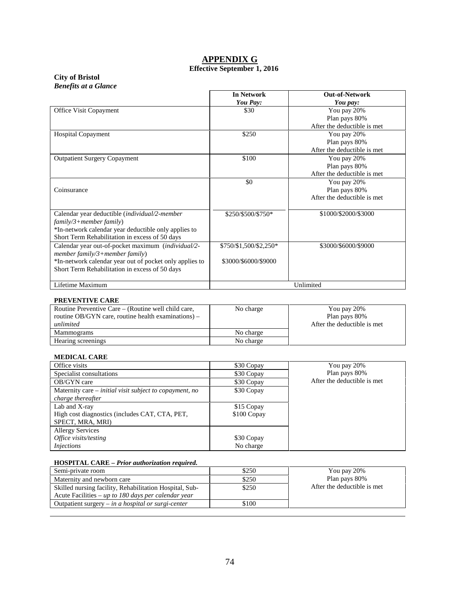## **APPENDIX G Effective September 1, 2016**

## **City of Bristol** *Benefits at a Glance*

|                                                                                                                                                                                                        | <b>In Network</b><br>You Pay:                  | <b>Out-of-Network</b><br>You pay:                           |
|--------------------------------------------------------------------------------------------------------------------------------------------------------------------------------------------------------|------------------------------------------------|-------------------------------------------------------------|
| Office Visit Copayment                                                                                                                                                                                 | \$30                                           | You pay 20%<br>Plan pays 80%<br>After the deductible is met |
| <b>Hospital Copayment</b>                                                                                                                                                                              | \$250                                          | You pay 20%<br>Plan pays 80%<br>After the deductible is met |
| <b>Outpatient Surgery Copayment</b>                                                                                                                                                                    | \$100                                          | You pay 20%<br>Plan pays 80%<br>After the deductible is met |
| Coinsurance                                                                                                                                                                                            | \$0                                            | You pay 20%<br>Plan pays 80%<br>After the deductible is met |
| Calendar year deductible (individual/2-member<br>$family/3 + member family)$<br>*In-network calendar year deductible only applies to<br>Short Term Rehabilitation in excess of 50 days                 | \$250/\$500/\$750*                             | \$1000/\$2000/\$3000                                        |
| Calendar year out-of-pocket maximum (individual/2-<br>member $family/3 + member family$ )<br>*In-network calendar year out of pocket only applies to<br>Short Term Rehabilitation in excess of 50 days | \$750/\$1,500/\$2,250*<br>\$3000/\$6000/\$9000 | \$3000/\$6000/\$9000                                        |
| Lifetime Maximum                                                                                                                                                                                       |                                                | Unlimited                                                   |

#### **PREVENTIVE CARE**

| Routine Preventive Care – (Routine well child care,<br>routine OB/GYN care, routine health examinations) $-$<br>unlimited | No charge | You pay 20%<br>Plan pays 80%<br>After the deductible is met. |
|---------------------------------------------------------------------------------------------------------------------------|-----------|--------------------------------------------------------------|
| Mammograms                                                                                                                | No charge |                                                              |
| Hearing screenings                                                                                                        | No charge |                                                              |

## **MEDICAL CARE**

| Office visits                                           | \$30 Copay  | You pay 20%                 |
|---------------------------------------------------------|-------------|-----------------------------|
| Specialist consultations                                | \$30 Copay  | Plan pays 80%               |
| OB/GYN care                                             | \$30 Copay  | After the deductible is met |
| Maternity care – initial visit subject to copayment, no | \$30 Copay  |                             |
| charge thereafter                                       |             |                             |
| Lab and X-ray                                           | \$15 Copay  |                             |
| High cost diagnostics (includes CAT, CTA, PET,          | \$100 Copay |                             |
| SPECT, MRA, MRI)                                        |             |                             |
| <b>Allergy Services</b>                                 |             |                             |
| Office visits/testing                                   | \$30 Copay  |                             |
| <i>Injections</i>                                       | No charge   |                             |

## **HOSPITAL CARE –** *Prior authorization required.*

| Semi-private room                                       | \$250 | You pay 20%                  |
|---------------------------------------------------------|-------|------------------------------|
| Maternity and newborn care                              | \$250 | Plan pays 80%                |
| Skilled nursing facility, Rehabilitation Hospital, Sub- | \$250 | After the deductible is met. |
| Acute Facilities – up to 180 days per calendar year     |       |                              |
| Outpatient surgery $-$ in a hospital or surgi-center    | \$100 |                              |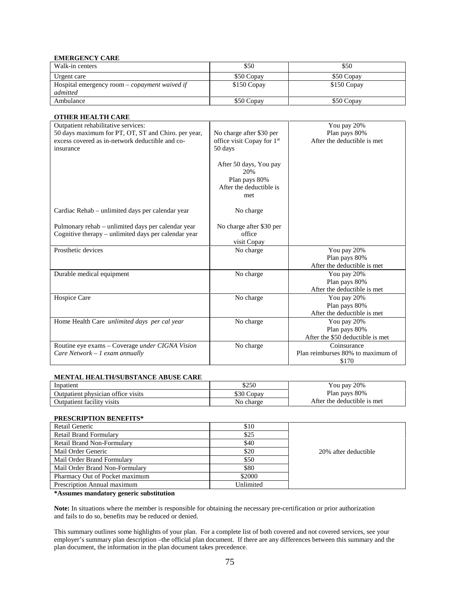#### **EMERGENCY CARE**

| Walk-in centers                                           | \$50        | \$50        |
|-----------------------------------------------------------|-------------|-------------|
| Urgent care                                               | \$50 Copay  | \$50 Copay  |
| Hospital emergency room – copayment waived if<br>admitted | \$150 Copay | \$150 Copay |
| Ambulance                                                 | \$50 Copay  | \$50 Copay  |

#### **OTHER HEALTH CARE**

| Outpatient rehabilitative services:                                                |                                                                                  | You pay 20%                                                      |
|------------------------------------------------------------------------------------|----------------------------------------------------------------------------------|------------------------------------------------------------------|
| 50 days maximum for PT, OT, ST and Chiro. per year,                                | No charge after \$30 per                                                         | Plan pays 80%                                                    |
| excess covered as in-network deductible and co-<br>insurance                       | office visit Copay for 1 <sup>st</sup><br>50 days                                | After the deductible is met                                      |
|                                                                                    | After 50 days, You pay<br>20%<br>Plan pays 80%<br>After the deductible is<br>met |                                                                  |
| Cardiac Rehab – unlimited days per calendar year                                   | No charge                                                                        |                                                                  |
| Pulmonary rehab – unlimited days per calendar year                                 | No charge after \$30 per                                                         |                                                                  |
| Cognitive therapy – unlimited days per calendar year                               | office<br>visit Copay                                                            |                                                                  |
| Prosthetic devices                                                                 | No charge                                                                        | You pay 20%<br>Plan pays 80%<br>After the deductible is met      |
| Durable medical equipment                                                          | No charge                                                                        | You pay 20%<br>Plan pays 80%<br>After the deductible is met.     |
| Hospice Care                                                                       | No charge                                                                        | You pay 20%<br>Plan pays 80%<br>After the deductible is met      |
| Home Health Care unlimited days per cal year                                       | No charge                                                                        | You pay 20%<br>Plan pays 80%<br>After the \$50 deductible is met |
| Routine eye exams - Coverage under CIGNA Vision<br>Care Network $-1$ exam annually | No charge                                                                        | Coinsurance<br>Plan reimburses 80% to maximum of<br>\$170        |

#### **MENTAL HEALTH/SUBSTANCE ABUSE CARE**

| Inpatient                          | \$250      | You pay 20%                 |
|------------------------------------|------------|-----------------------------|
| Outpatient physician office visits | \$30 Copay | Plan pays 80%               |
| Outpatient facility visits         | No charge  | After the deductible is met |

#### **PRESCRIPTION BENEFITS\***

| Retail Generic                 | \$10      |                      |
|--------------------------------|-----------|----------------------|
| <b>Retail Brand Formulary</b>  | \$25      |                      |
| Retail Brand Non-Formulary     | \$40      |                      |
| Mail Order Generic             | \$20      | 20% after deductible |
| Mail Order Brand Formulary     | \$50      |                      |
| Mail Order Brand Non-Formulary | \$80      |                      |
| Pharmacy Out of Pocket maximum | \$2000    |                      |
| Prescription Annual maximum    | Unlimited |                      |

**\*Assumes mandatory generic substitution**

**Note:** In situations where the member is responsible for obtaining the necessary pre-certification or prior authorization and fails to do so, benefits may be reduced or denied.

This summary outlines some highlights of your plan. For a complete list of both covered and not covered services, see your employer's summary plan description –the official plan document. If there are any differences between this summary and the plan document, the information in the plan document takes precedence.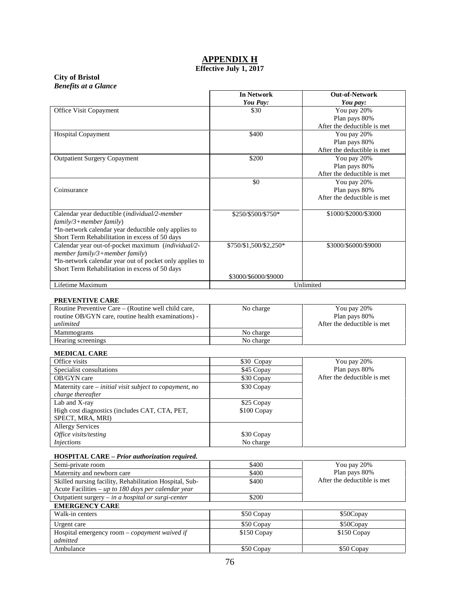# **APPENDIX H**

## **Effective July 1, 2017**

#### **City of Bristol** *Benefits at a Glance*

|                                                                                                                                                                                                   | <b>In Network</b><br>You Pay: | <b>Out-of-Network</b><br>You pay:                           |
|---------------------------------------------------------------------------------------------------------------------------------------------------------------------------------------------------|-------------------------------|-------------------------------------------------------------|
| Office Visit Copayment                                                                                                                                                                            | \$30                          | You pay 20%<br>Plan pays 80%<br>After the deductible is met |
| <b>Hospital Copayment</b>                                                                                                                                                                         | \$400                         | You pay 20%<br>Plan pays 80%<br>After the deductible is met |
| <b>Outpatient Surgery Copayment</b>                                                                                                                                                               | \$200                         | You pay 20%<br>Plan pays 80%<br>After the deductible is met |
| Coinsurance                                                                                                                                                                                       | \$0                           | You pay 20%<br>Plan pays 80%<br>After the deductible is met |
| Calendar year deductible (individual/2-member<br>$family/3 + member family)$<br>*In-network calendar year deductible only applies to<br>Short Term Rehabilitation in excess of 50 days            | \$250/\$500/\$750*            | \$1000/\$2000/\$3000                                        |
| Calendar year out-of-pocket maximum (individual/2-<br>member family/3+member family)<br>*In-network calendar year out of pocket only applies to<br>Short Term Rehabilitation in excess of 50 days | \$750/\$1,500/\$2,250*        | \$3000/\$6000/\$9000                                        |
| Lifetime Maximum                                                                                                                                                                                  | \$3000/\$6000/\$9000          | Unlimited                                                   |

## **PREVENTIVE CARE**

| Routine Preventive Care – (Routine well child care,<br>routine OB/GYN care, routine health examinations) -<br>unlimited | No charge | You pay 20%<br>Plan pays 80%<br>After the deductible is met. |
|-------------------------------------------------------------------------------------------------------------------------|-----------|--------------------------------------------------------------|
| Mammograms                                                                                                              | No charge |                                                              |
| Hearing screenings                                                                                                      | No charge |                                                              |

#### **MEDICAL CARE**

| Office visits                                           | \$30 Copay  | You pay 20%                 |
|---------------------------------------------------------|-------------|-----------------------------|
| Specialist consultations                                | \$45 Copay  | Plan pays 80%               |
| OB/GYN care                                             | \$30 Copay  | After the deductible is met |
| Maternity care – initial visit subject to copayment, no | \$30 Copay  |                             |
| charge thereafter                                       |             |                             |
| Lab and X-ray                                           | \$25 Copay  |                             |
| High cost diagnostics (includes CAT, CTA, PET,          | \$100 Copay |                             |
| SPECT, MRA, MRI)                                        |             |                             |
| <b>Allergy Services</b>                                 |             |                             |
| Office visits/testing                                   | \$30 Copay  |                             |
| <i>Injections</i>                                       | No charge   |                             |

## **HOSPITAL CARE –** *Prior authorization required.*

| Semi-private room                                                                                              | \$400       | You pay 20%                 |
|----------------------------------------------------------------------------------------------------------------|-------------|-----------------------------|
| Maternity and newborn care                                                                                     | \$400       | Plan pays 80%               |
| Skilled nursing facility, Rehabilitation Hospital, Sub-<br>Acute Facilities - up to 180 days per calendar year | \$400       | After the deductible is met |
| Outpatient surgery $-$ in a hospital or surgi-center                                                           | \$200       |                             |
| <b>EMERGENCY CARE</b>                                                                                          |             |                             |
| Walk-in centers                                                                                                | \$50 Copay  | \$50Copay                   |
| Urgent care                                                                                                    | \$50 Copay  | \$50Copay                   |
| Hospital emergency room $-$ <i>copayment waived if</i><br>admitted                                             | \$150 Copay | \$150 Copay                 |
| Ambulance                                                                                                      | \$50 Copay  | \$50 Copay                  |